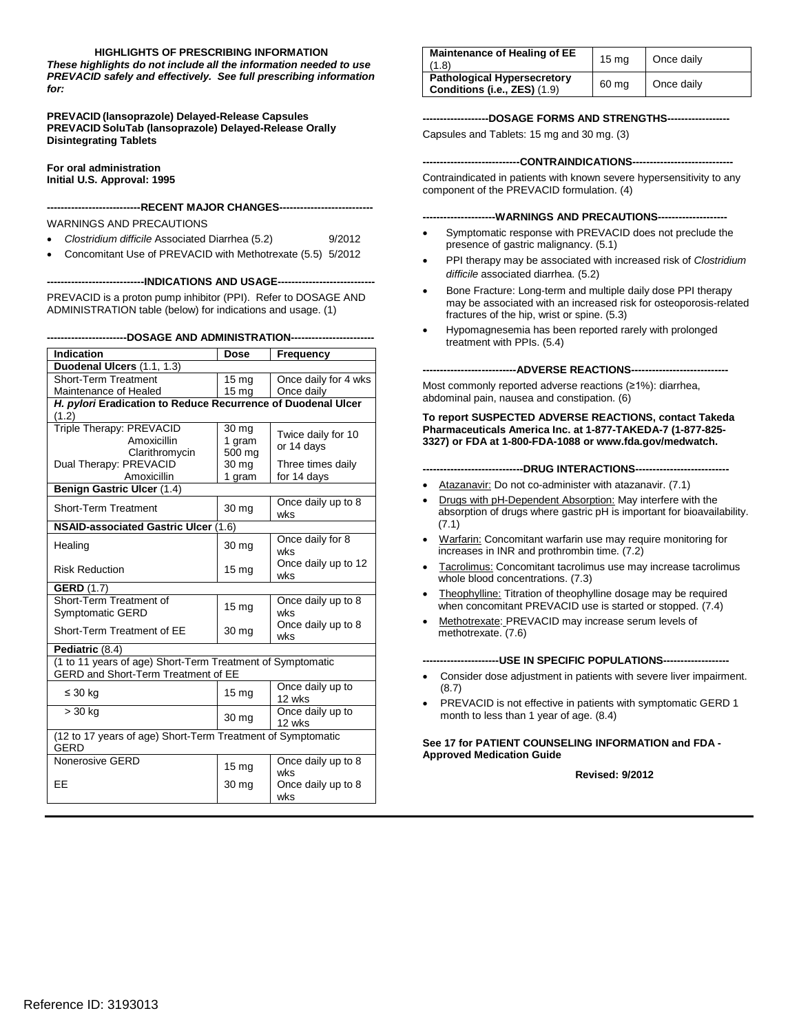#### **HIGHLIGHTS OF PRESCRIBING INFORMATION**

 *These highlights do not include all the information needed to use PREVACID safely and effectively. See full prescribing information for:* 

**PREVACID (lansoprazole) Delayed-Release Capsules PREVACID SoluTab (lansoprazole) Delayed-Release Orally Disintegrating Tablets** 

**For oral administration Initial U.S. Approval: 1995** 

----RECENT MAJOR CHANGES----

WARNINGS AND PRECAUTIONS

- • *Clostridium difficile* Associated Diarrhea (5.2) 9/2012
- Concomitant Use of PREVACID with Methotrexate (5.5) 5/2012

**----------------------------INDICATIONS AND USAGE---------------------------**

 PREVACID is a proton pump inhibitor (PPI). Refer to DOSAGE AND ADMINISTRATION table (below) for indications and usage. (1)

**-----------------------DOSAGE AND ADMINISTRATION-----------------------**

| Indication                                                                 | <b>Dose</b>        | Frequency                  |  |  |  |
|----------------------------------------------------------------------------|--------------------|----------------------------|--|--|--|
| Duodenal Ulcers (1.1, 1.3)                                                 |                    |                            |  |  |  |
| Short-Term Treatment                                                       | 15 <sub>mg</sub>   | Once daily for 4 wks       |  |  |  |
| Maintenance of Healed                                                      | 15 mg              | Once daily                 |  |  |  |
| H. pylori Eradication to Reduce Recurrence of Duodenal Ulcer               |                    |                            |  |  |  |
| (1.2)                                                                      |                    |                            |  |  |  |
| Triple Therapy: PREVACID                                                   | 30 mg              | Twice daily for 10         |  |  |  |
| Amoxicillin                                                                | 1 gram             | or 14 days                 |  |  |  |
| Clarithromycin                                                             | 500 mg             |                            |  |  |  |
| Dual Therapy: PREVACID                                                     | 30 mg              | Three times daily          |  |  |  |
| Amoxicillin                                                                | 1 gram             | for 14 days                |  |  |  |
| Benign Gastric Ulcer (1.4)                                                 |                    |                            |  |  |  |
| Short-Term Treatment                                                       | 30 <sub>mg</sub>   | Once daily up to 8<br>wks  |  |  |  |
| NSAID-associated Gastric Ulcer (1.6)                                       |                    |                            |  |  |  |
| Healing                                                                    | 30 mg              | Once daily for 8<br>wks    |  |  |  |
| <b>Risk Reduction</b>                                                      | 15 mg              | Once daily up to 12<br>wks |  |  |  |
| <b>GERD (1.7)</b>                                                          |                    |                            |  |  |  |
| Short-Term Treatment of                                                    | 15 <sub>mg</sub>   | Once daily up to 8         |  |  |  |
| Symptomatic GERD                                                           |                    | wks                        |  |  |  |
| Short-Term Treatment of EE                                                 | 30 mg              | Once daily up to 8<br>wks  |  |  |  |
| Pediatric (8.4)                                                            |                    |                            |  |  |  |
| (1 to 11 years of age) Short-Term Treatment of Symptomatic                 |                    |                            |  |  |  |
| GERD and Short-Term Treatment of EE                                        |                    |                            |  |  |  |
| $\leq 30$ kg                                                               | $15 \text{ mg}$    | Once daily up to<br>12 wks |  |  |  |
| > 30 kg                                                                    | 30 mg              | Once daily up to<br>12 wks |  |  |  |
| (12 to 17 years of age) Short-Term Treatment of Symptomatic<br><b>GERD</b> |                    |                            |  |  |  |
| Nonerosive GERD                                                            | $15 \,\mathrm{mg}$ | Once daily up to 8<br>wks  |  |  |  |
| EE                                                                         | 30 <sub>mg</sub>   | Once daily up to 8<br>wks  |  |  |  |

| Maintenance of Healing of EE<br>(1.8)                              | 15 <sub>ma</sub> | Once daily |
|--------------------------------------------------------------------|------------------|------------|
| <b>Pathological Hypersecretory</b><br>Conditions (i.e., ZES) (1.9) | 60 mg            | Once daily |

#### **-------------------DOSAGE FORMS AND STRENGTHS-----------------**

Capsules and Tablets: 15 mg and 30 mg. (3)

#### **----------------------------CONTRAINDICATIONS-----------------------------**

 Contraindicated in patients with known severe hypersensitivity to any component of the PREVACID formulation. (4)

#### ----WARNINGS AND PRECAUTIONS-----

- presence of gastric malignancy. (5.1) Symptomatic response with PREVACID does not preclude the
- • PPI therapy may be associated with increased risk of *Clostridium difficile* associated diarrhea. (5.2)
- fractures of the hip, wrist or spine. (5.3) Bone Fracture: Long-term and multiple daily dose PPI therapy may be associated with an increased risk for osteoporosis-related
- Hypomagnesemia has been reported rarely with prolonged treatment with PPIs. (5.4)

**---------------------------ADVERSE REACTIONS---------------------------**

Most commonly reported adverse reactions (≥1%): diarrhea, abdominal pain, nausea and constipation. (6)

 **3327) or FDA at 1-800-FDA-1088 or www.fda.gov/medwatch. To report SUSPECTED ADVERSE REACTIONS, contact Takeda Pharmaceuticals America Inc. at 1-877-TAKEDA-7 (1-877-825**

- **-----------------------------DRUG INTERACTIONS--------------------------**
- Atazanavir: Do not co-administer with atazanavir. (7.1)
- absorption of drugs where gastric pH is important for bioavailability. Drugs with pH-Dependent Absorption: May interfere with the (7.1)
- increases in INR and prothrombin time. (7.2) Warfarin: Concomitant warfarin use may require monitoring for
- Tacrolimus: Concomitant tacrolimus use may increase tacrolimus whole blood concentrations. (7.3)
- Theophylline: Titration of theophylline dosage may be required when concomitant PREVACID use is started or stopped. (7.4)
- Methotrexate: PREVACID may increase serum levels of methotrexate. (7.6)

----USE IN SPECIFIC POPULATIONS-----

- Consider dose adjustment in patients with severe liver impairment. (8.7)
- PREVACID is not effective in patients with symptomatic GERD 1 month to less than 1 year of age. (8.4)

#### **See 17 for PATIENT COUNSELING INFORMATION and FDA Approved Medication Guide**

**Revised: 9/2012**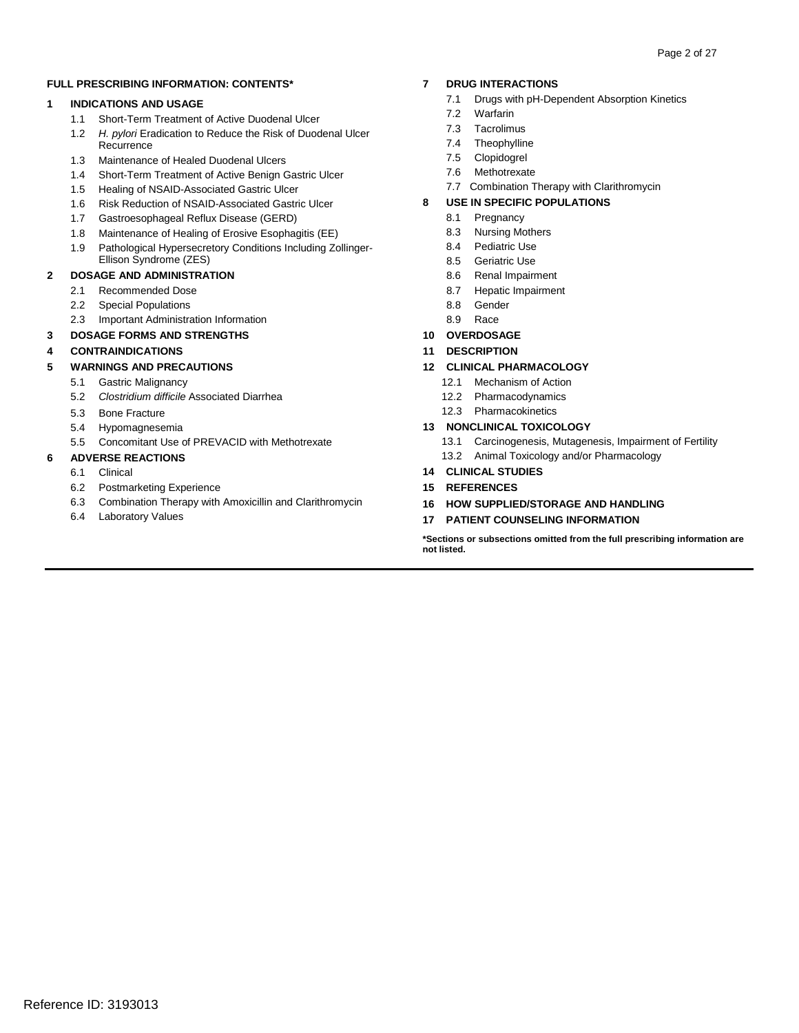#### **FULL PRESCRIBING INFORMATION: CONTENTS\***

#### **1 INDICATIONS AND USAGE**

- 1.1 Short-Term Treatment of Active Duodenal Ulcer
- 1.2 *H. pylori* Eradication to Reduce the Risk of Duodenal Ulcer **Recurrence**
- 1.3 Maintenance of Healed Duodenal Ulcers
- 1.4 Short-Term Treatment of Active Benign Gastric Ulcer
- 1.5 Healing of NSAID-Associated Gastric Ulcer
- 1.6 Risk Reduction of NSAID-Associated Gastric Ulcer
- 1.7 Gastroesophageal Reflux Disease (GERD)
- 1.8 Maintenance of Healing of Erosive Esophagitis (EE)
- 1.9 Pathological Hypersecretory Conditions Including Zollinger-Ellison Syndrome (ZES)

#### **2 DOSAGE AND ADMINISTRATION**

- 2.1 Recommended Dose
- 2.2 Special Populations
- 2.3 Important Administration Information
- **3 DOSAGE FORMS AND STRENGTHS**

### **4 CONTRAINDICATIONS**

#### **5 WARNINGS AND PRECAUTIONS**

- 5.1 Gastric Malignancy
- 5.2 *Clostridium difficile* Associated Diarrhea
- 5.3 Bone Fracture
- 5.4 Hypomagnesemia
- 5.5 Concomitant Use of PREVACID with Methotrexate

#### **6 ADVERSE REACTIONS**

- 6.1 Clinical
- 6.2 Postmarketing Experience
- 6.3 Combination Therapy with Amoxicillin and Clarithromycin
- 6.4 Laboratory Values

#### **7 DRUG INTERACTIONS**

- 7.1 Drugs with pH-Dependent Absorption Kinetics
- 7.2 Warfarin
- 7.3 Tacrolimus
- 7.4 Theophylline
- 7.5 Clopidogrel
- 7.6 Methotrexate
- 7.7 Combination Therapy with Clarithromycin

#### **8 USE IN SPECIFIC POPULATIONS**

- 8.1 Pregnancy
- 8.3 Nursing Mothers
- 8.4 Pediatric Use
- 8.5 Geriatric Use
- 8.6 Renal Impairment
- 8.7 Hepatic Impairment
- 8.8 Gender
- 8.9 Race
- **10 OVERDOSAGE**
- **11 DESCRIPTION**

#### **12 CLINICAL PHARMACOLOGY**

- 12.1 Mechanism of Action
- 12.2 Pharmacodynamics
- 12.3 Pharmacokinetics

#### **13 NONCLINICAL TOXICOLOGY**

- 13.1 Carcinogenesis, Mutagenesis, Impairment of Fertility 13.2 Animal Toxicology and/or Pharmacology
- **14 CLINICAL STUDIES**
- **15 REFERENCES**
- **16 HOW SUPPLIED/STORAGE AND HANDLING**
- **17 PATIENT COUNSELING INFORMATION**

 **\*Sections or subsections omitted from the full prescribing information are not listed.**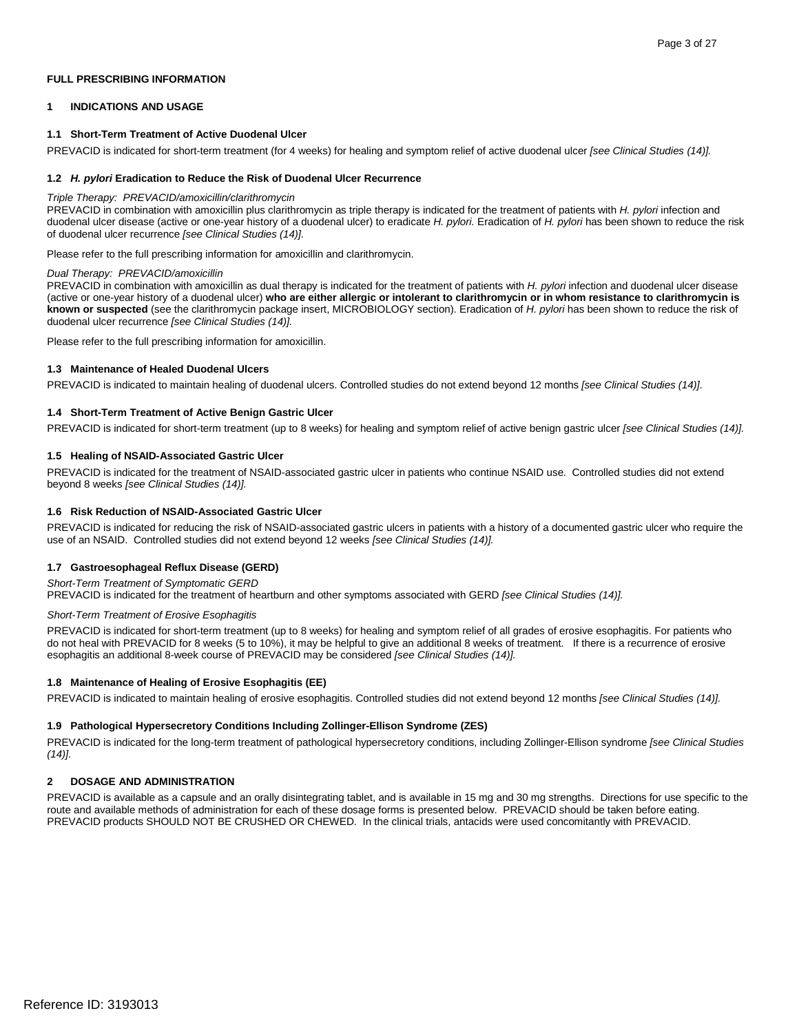#### **FULL PRESCRIBING INFORMATION**

#### **1 INDICATIONS AND USAGE**

#### **1.1 Short-Term Treatment of Active Duodenal Ulcer**

 PREVACID is indicated for short-term treatment (for 4 weeks) for healing and symptom relief of active duodenal ulcer *[see Clinical Studies (14)].* 

#### **1.2** *H. pylori* **Eradication to Reduce the Risk of Duodenal Ulcer Recurrence**

#### *Triple Therapy: PREVACID/amoxicillin/clarithromycin*

 PREVACID in combination with amoxicillin plus clarithromycin as triple therapy is indicated for the treatment of patients with *H. pylori* infection and duodenal ulcer disease (active or one-year history of a duodenal ulcer) to eradicate *H. pylori.* Eradication of *H. pylori* has been shown to reduce the risk of duodenal ulcer recurrence *[see Clinical Studies (14)].* 

Please refer to the full prescribing information for amoxicillin and clarithromycin.

#### *Dual Therapy: PREVACID/amoxicillin*

 PREVACID in combination with amoxicillin as dual therapy is indicated for the treatment of patients with *H. pylori* infection and duodenal ulcer disease (active or one-year history of a duodenal ulcer) **who are either allergic or intolerant to clarithromycin or in whom resistance to clarithromycin is known or suspected** (see the clarithromycin package insert, MICROBIOLOGY section). Eradication of *H. pylori* has been shown to reduce the risk of duodenal ulcer recurrence *[see Clinical Studies (14)].* 

Please refer to the full prescribing information for amoxicillin.

#### **1.3 Maintenance of Healed Duodenal Ulcers**

PREVACID is indicated to maintain healing of duodenal ulcers. Controlled studies do not extend beyond 12 months *[see Clinical Studies (14)].* 

#### **1.4 Short-Term Treatment of Active Benign Gastric Ulcer**

PREVACID is indicated for short-term treatment (up to 8 weeks) for healing and symptom relief of active benign gastric ulcer *[see Clinical Studies (14)].* 

#### **1.5 Healing of NSAID-Associated Gastric Ulcer**

 PREVACID is indicated for the treatment of NSAID-associated gastric ulcer in patients who continue NSAID use. Controlled studies did not extend beyond 8 weeks *[see Clinical Studies (14)].* 

#### **1.6 Risk Reduction of NSAID-Associated Gastric Ulcer**

 PREVACID is indicated for reducing the risk of NSAID-associated gastric ulcers in patients with a history of a documented gastric ulcer who require the  use of an NSAID. Controlled studies did not extend beyond 12 weeks *[see Clinical Studies (14)].* 

#### **1.7 Gastroesophageal Reflux Disease (GERD)**

#### *Short-Term Treatment of Symptomatic GERD*

PREVACID is indicated for the treatment of heartburn and other symptoms associated with GERD *[see Clinical Studies (14)].*

#### *Short-Term Treatment of Erosive Esophagitis*

 PREVACID is indicated for short-term treatment (up to 8 weeks) for healing and symptom relief of all grades of erosive esophagitis. For patients who do not heal with PREVACID for 8 weeks (5 to 10%), it may be helpful to give an additional 8 weeks of treatment. If there is a recurrence of erosive esophagitis an additional 8-week course of PREVACID may be considered *[see Clinical Studies (14)].* 

#### **1.8 Maintenance of Healing of Erosive Esophagitis (EE)**

 PREVACID is indicated to maintain healing of erosive esophagitis. Controlled studies did not extend beyond 12 months *[see Clinical Studies (14)].* 

#### **1.9 Pathological Hypersecretory Conditions Including Zollinger-Ellison Syndrome (ZES)**

 PREVACID is indicated for the long-term treatment of pathological hypersecretory conditions, including Zollinger-Ellison syndrome *[see Clinical Studies (14)].* 

#### **2 DOSAGE AND ADMINISTRATION**

 PREVACID is available as a capsule and an orally disintegrating tablet, and is available in 15 mg and 30 mg strengths. Directions for use specific to the route and available methods of administration for each of these dosage forms is presented below. PREVACID should be taken before eating.<br>PREVACID products SHOULD NOT BE CRUSHED OR CHEWED. In the clinical trials, antacids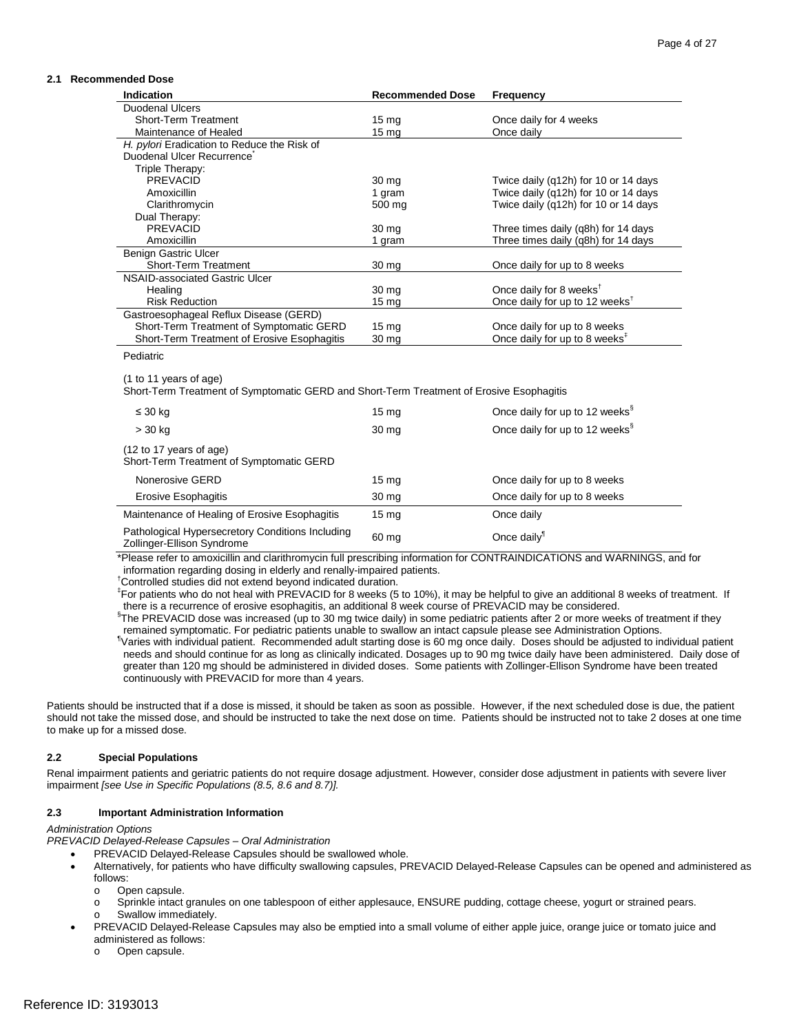#### **2.1 Recommended Dose**

| Indication                                                                               | <b>Recommended Dose</b> | Frequency                                  |
|------------------------------------------------------------------------------------------|-------------------------|--------------------------------------------|
| <b>Duodenal Ulcers</b>                                                                   |                         |                                            |
| <b>Short-Term Treatment</b>                                                              | 15 <sub>mg</sub>        | Once daily for 4 weeks                     |
| Maintenance of Healed                                                                    | 15 <sub>mg</sub>        | Once daily                                 |
| H. pylori Eradication to Reduce the Risk of                                              |                         |                                            |
| Duodenal Ulcer Recurrence                                                                |                         |                                            |
| Triple Therapy:                                                                          |                         |                                            |
| <b>PREVACID</b>                                                                          | 30 <sub>mg</sub>        | Twice daily (q12h) for 10 or 14 days       |
| Amoxicillin                                                                              | 1 gram                  | Twice daily (q12h) for 10 or 14 days       |
| Clarithromycin                                                                           | 500 mg                  | Twice daily (q12h) for 10 or 14 days       |
| Dual Therapy:                                                                            |                         |                                            |
| <b>PREVACID</b>                                                                          | 30 mg                   | Three times daily (q8h) for 14 days        |
| Amoxicillin                                                                              | 1 gram                  | Three times daily (q8h) for 14 days        |
| <b>Benign Gastric Ulcer</b>                                                              |                         |                                            |
| Short-Term Treatment                                                                     | 30 mg                   | Once daily for up to 8 weeks               |
| NSAID-associated Gastric Ulcer                                                           |                         |                                            |
| Healing                                                                                  | 30 mg                   | Once daily for 8 weeks <sup>t</sup>        |
| <b>Risk Reduction</b>                                                                    | 15 <sub>mg</sub>        | Once daily for up to 12 weeks <sup>†</sup> |
| Gastroesophageal Reflux Disease (GERD)                                                   |                         |                                            |
| Short-Term Treatment of Symptomatic GERD                                                 | 15 <sub>mg</sub>        | Once daily for up to 8 weeks               |
| Short-Term Treatment of Erosive Esophagitis                                              | 30 mg                   | Once daily for up to 8 weeks <sup>#</sup>  |
| Pediatric                                                                                |                         |                                            |
|                                                                                          |                         |                                            |
| (1 to 11 years of age)                                                                   |                         |                                            |
| Short-Term Treatment of Symptomatic GERD and Short-Term Treatment of Erosive Esophagitis |                         |                                            |
| $\leq 30$ kg                                                                             | 15 <sub>mg</sub>        | Once daily for up to 12 weeks <sup>§</sup> |
| > 30 kg                                                                                  | 30 mg                   | Once daily for up to 12 weeks <sup>§</sup> |
| (12 to 17 years of age)<br>Short-Term Treatment of Symptomatic GERD                      |                         |                                            |
| Nonerosive GERD                                                                          | 15 <sub>mg</sub>        | Once daily for up to 8 weeks               |
| <b>Erosive Esophagitis</b>                                                               | 30 mg                   | Once daily for up to 8 weeks               |
| Maintenance of Healing of Erosive Esophagitis                                            | $15 \text{ mg}$         | Once daily                                 |
| Pathological Hypersecretory Conditions Including<br>Zollinger-Ellison Syndrome           | 60 mg                   | Once daily <sup>1</sup>                    |

\*Please refer to amoxicillin and clarithromycin full prescribing information for CONTRAINDICATIONS and WARNINGS, and for information regarding dosing in elderly and renally-impaired patients. †

Controlled studies did not extend beyond indicated duration.

 ‡ For patients who do not heal with PREVACID for 8 weeks (5 to 10%), it may be helpful to give an additional 8 weeks of treatment. If there is a recurrence of erosive esophagitis, an additional 8 week course of PREVACID may be considered.

 § The PREVACID dose was increased (up to 30 mg twice daily) in some pediatric patients after 2 or more weeks of treatment if they remained symptomatic. For pediatric patients unable to swallow an intact capsule please see Administration Options.<br><sup>¶</sup>Veries with individual patient. Becommended adult etertion dess is 60 mg apse daily. Desse should be ad

 Varies with individual patient. Recommended adult starting dose is 60 mg once daily. Doses should be adjusted to individual patient needs and should continue for as long as clinically indicated. Dosages up to 90 mg twice daily have been administered. Daily dose of greater than 120 mg should be administered in divided doses. Some patients with Zollinger-Ellison Syndrome have been treated continuously with PREVACID for more than 4 years.

 Patients should be instructed that if a dose is missed, it should be taken as soon as possible. However, if the next scheduled dose is due, the patient should not take the missed dose, and should be instructed to take the next dose on time. Patients should be instructed not to take 2 doses at one time to make up for a missed dose.

#### **2.2 Special Populations**

 Renal impairment patients and geriatric patients do not require dosage adjustment. However, consider dose adjustment in patients with severe liver impairment *[see Use in Specific Populations (8.5, 8.6 and 8.7)].* 

#### **2.3 Important Administration Information**

#### *Administration Options*

*PREVACID Delayed-Release Capsules – Oral Administration*

- PREVACID Delayed-Release Capsules should be swallowed whole.
- Alternatively, for patients who have difficulty swallowing capsules, PREVACID Delayed-Release Capsules can be opened and administered as follows:
	-
	- o Sprinkle intact granules on one tablespoon of either applesauce, ENSURE pudding, cottage cheese, yogurt or strained pears. o Open capsule.<br>
	o Sprinkle intact
	- Swallow immediately.
- • PREVACID Delayed-Release Capsules may also be emptied into a small volume of either apple juice, orange juice or tomato juice and administered as follows:
	- o Open capsule.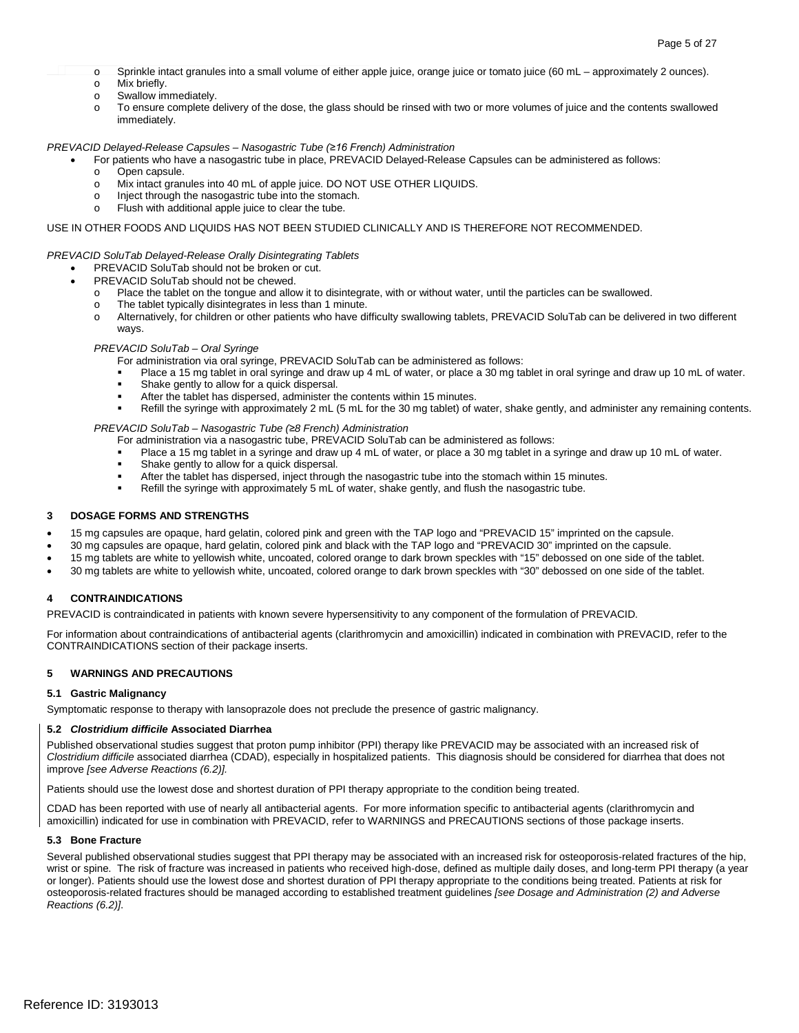- o Sprinkle intact granules into a small volume of either apple juice, orange juice or tomato juice (60 mL approximately 2 ounces).
- o Mix briefly.<br>
o Swallow im
- Swallow immediately.
- o To ensure complete delivery of the dose, the glass should be rinsed with two or more volumes of juice and the contents swallowed immediately.

#### *PREVACID Delayed-Release Capsules – Nasogastric Tube (≥16 French) Administration*

- For patients who have a nasogastric tube in place, PREVACID Delayed-Release Capsules can be administered as follows:
	- o Open capsule.
	- o Mix intact granules into 40 mL of apple juice. DO NOT USE OTHER LIQUIDS.<br>
	o lniect through the nasogastric tube into the stomach.
	- o lnject through the nasogastric tube into the stomach.
	- $\circ$  Flush with additional apple juice to clear the tube.

#### USE IN OTHER FOODS AND LIQUIDS HAS NOT BEEN STUDIED CLINICALLY AND IS THEREFORE NOT RECOMMENDED.

#### *PREVACID SoluTab Delayed-Release Orally Disintegrating Tablets*

- PREVACID SoluTab should not be broken or cut.
	- PREVACID SoluTab should not be chewed.
		- o Place the tablet on the tongue and allow it to disintegrate, with or without water, until the particles can be swallowed.
		- o The tablet typically disintegrates in less than 1 minute.
		- o Alternatively, for children or other patients who have difficulty swallowing tablets, PREVACID SoluTab can be delivered in two different ways.

#### *PREVACID SoluTab – Oral Syringe*

For administration via oral syringe, PREVACID SoluTab can be administered as follows:

- Place a 15 mg tablet in oral syringe and draw up 4 mL of water, or place a 30 mg tablet in oral syringe and draw up 10 mL of water.
- **Shake gently to allow for a quick dispersal.**
- After the tablet has dispersed, administer the contents within 15 minutes.
- Refill the syringe with approximately 2 mL (5 mL for the 30 mg tablet) of water, shake gently, and administer any remaining contents.

*PREVACID SoluTab – Nasogastric Tube (≥8 French) Administration* 

For administration via a nasogastric tube, PREVACID SoluTab can be administered as follows:

- Place a 15 mg tablet in a syringe and draw up 4 mL of water, or place a 30 mg tablet in a syringe and draw up 10 mL of water.
- **Shake gently to allow for a quick dispersal.**
- After the tablet has dispersed, inject through the nasogastric tube into the stomach within 15 minutes.
- Refill the syringe with approximately 5 mL of water, shake gently, and flush the nasogastric tube.

#### **3 DOSAGE FORMS AND STRENGTHS**

- 15 mg capsules are opaque, hard gelatin, colored pink and green with the TAP logo and "PREVACID 15" imprinted on the capsule.
- 30 mg capsules are opaque, hard gelatin, colored pink and black with the TAP logo and "PREVACID 30" imprinted on the capsule.
- 15 mg tablets are white to yellowish white, uncoated, colored orange to dark brown speckles with "15" debossed on one side of the tablet.
- • 30 mg tablets are white to yellowish white, uncoated, colored orange to dark brown speckles with "30" debossed on one side of the tablet.

#### **4 CONTRAINDICATIONS**

PREVACID is contraindicated in patients with known severe hypersensitivity to any component of the formulation of PREVACID.

For information about contraindications of antibacterial agents (clarithromycin and amoxicillin) indicated in combination with PREVACID, refer to the CONTRAINDICATIONS section of their package inserts.

#### **5 WARNINGS AND PRECAUTIONS**

#### **5.1 Gastric Malignancy**

Symptomatic response to therapy with lansoprazole does not preclude the presence of gastric malignancy.

#### **5.2** *Clostridium difficile* **Associated Diarrhea**

 Published observational studies suggest that proton pump inhibitor (PPI) therapy like PREVACID may be associated with an increased risk of *Clostridium difficile* associated diarrhea (CDAD), especially in hospitalized patients. This diagnosis should be considered for diarrhea that does not improve *[see Adverse Reactions (6.2)].* 

Patients should use the lowest dose and shortest duration of PPI therapy appropriate to the condition being treated.

 CDAD has been reported with use of nearly all antibacterial agents. For more information specific to antibacterial agents (clarithromycin and amoxicillin) indicated for use in combination with PREVACID, refer to WARNINGS and PRECAUTIONS sections of those package inserts.

#### **5.3 Bone Fracture**

 Several published observational studies suggest that PPI therapy may be associated with an increased risk for osteoporosis-related fractures of the hip, wrist or spine. The risk of fracture was increased in patients who received high-dose, defined as multiple daily doses, and long-term PPI therapy (a year or longer). Patients should use the lowest dose and shortest duration of PPI therapy appropriate to the conditions being treated. Patients at risk for osteoporosis-related fractures should be managed according to established treatment guidelines *[see Dosage and Administration (2) and Adverse Reactions (6.2)]*.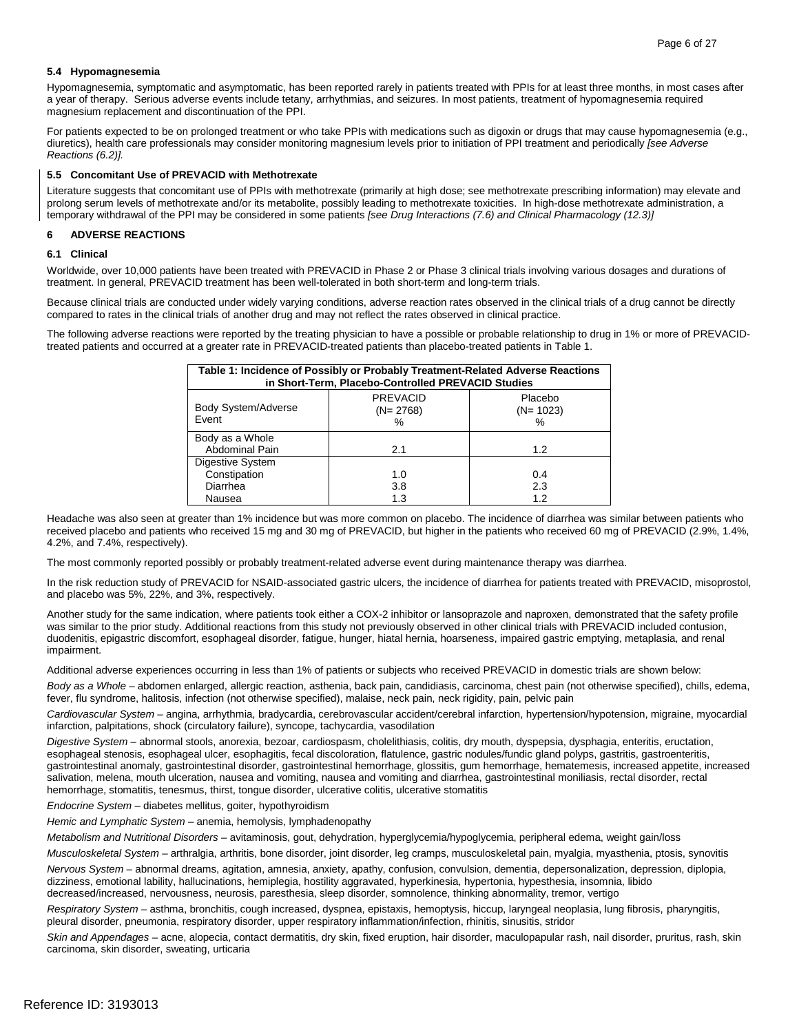#### **5.4 Hypomagnesemia**

 Hypomagnesemia, symptomatic and asymptomatic, has been reported rarely in patients treated with PPIs for at least three months, in most cases after a year of therapy. Serious adverse events include tetany, arrhythmias, and seizures. In most patients, treatment of hypomagnesemia required magnesium replacement and discontinuation of the PPI.

 For patients expected to be on prolonged treatment or who take PPIs with medications such as digoxin or drugs that may cause hypomagnesemia (e.g., diuretics), health care professionals may consider monitoring magnesium levels prior to initiation of PPI treatment and periodically *[see Adverse Reactions (6.2)].* 

#### **5.5 Concomitant Use of PREVACID with Methotrexate**

 Literature suggests that concomitant use of PPIs with methotrexate (primarily at high dose; see methotrexate prescribing information) may elevate and prolong serum levels of methotrexate and/or its metabolite, possibly leading to methotrexate toxicities. In high-dose methotrexate administration, a temporary withdrawal of the PPI may be considered in some patients *[see Drug Interactions (7.6) and Clinical Pharmacology (12.3)]* 

## **6 ADVERSE REACTIONS 6.1 Clinical**

#### 6.1 Clinical

Worldwide, over 10,000 patients have been treated with PREVACID in Phase 2 or Phase 3 clinical trials involving various dosages and durations of treatment. In general, PREVACID treatment has been well-tolerated in both short-term and long-term trials.

 Because clinical trials are conducted under widely varying conditions, adverse reaction rates observed in the clinical trials of a drug cannot be directly compared to rates in the clinical trials of another drug and may not reflect the rates observed in clinical practice.

 treated patients and occurred at a greater rate in PREVACID-treated patients than placebo-treated patients in Table 1. The following adverse reactions were reported by the treating physician to have a possible or probable relationship to drug in 1% or more of PREVACID-

| Table 1: Incidence of Possibly or Probably Treatment-Related Adverse Reactions<br>in Short-Term, Placebo-Controlled PREVACID Studies |                                       |                               |  |  |
|--------------------------------------------------------------------------------------------------------------------------------------|---------------------------------------|-------------------------------|--|--|
| <b>Body System/Adverse</b><br>Event                                                                                                  | <b>PREVACID</b><br>$(N=2768)$<br>$\%$ | Placebo<br>$(N=1023)$<br>$\%$ |  |  |
| Body as a Whole<br><b>Abdominal Pain</b>                                                                                             | 2.1                                   | 1.2                           |  |  |
| Digestive System<br>Constipation<br>Diarrhea<br>Nausea                                                                               | 1.0<br>3.8<br>1.3                     | 0.4<br>2.3<br>1.2             |  |  |

 received placebo and patients who received 15 mg and 30 mg of PREVACID, but higher in the patients who received 60 mg of PREVACID (2.9%, 1.4%, Headache was also seen at greater than 1% incidence but was more common on placebo. The incidence of diarrhea was similar between patients who 4.2%, and 7.4%, respectively).

The most commonly reported possibly or probably treatment-related adverse event during maintenance therapy was diarrhea.

In the risk reduction study of PREVACID for NSAID-associated gastric ulcers, the incidence of diarrhea for patients treated with PREVACID, misoprostol, and placebo was 5%, 22%, and 3%, respectively.

 Another study for the same indication, where patients took either a COX-2 inhibitor or lansoprazole and naproxen, demonstrated that the safety profile was similar to the prior study. Additional reactions from this study not previously observed in other clinical trials with PREVACID included contusion, duodenitis, epigastric discomfort, esophageal disorder, fatigue, hunger, hiatal hernia, hoarseness, impaired gastric emptying, metaplasia, and renal impairment.

Additional adverse experiences occurring in less than 1% of patients or subjects who received PREVACID in domestic trials are shown below:

 *Body as a Whole* – abdomen enlarged, allergic reaction, asthenia, back pain, candidiasis, carcinoma, chest pain (not otherwise specified), chills, edema, fever, flu syndrome, halitosis, infection (not otherwise specified), malaise, neck pain, neck rigidity, pain, pelvic pain

 *Cardiovascular System –* angina, arrhythmia, bradycardia, cerebrovascular accident/cerebral infarction, hypertension/hypotension, migraine, myocardial infarction, palpitations, shock (circulatory failure), syncope, tachycardia, vasodilation

 *Digestive System –* abnormal stools, anorexia, bezoar, cardiospasm, cholelithiasis, colitis, dry mouth, dyspepsia, dysphagia, enteritis, eructation, salivation, melena, mouth ulceration, nausea and vomiting, nausea and vomiting and diarrhea, gastrointestinal moniliasis, rectal disorder, rectal esophageal stenosis, esophageal ulcer, esophagitis, fecal discoloration, flatulence, gastric nodules/fundic gland polyps, gastritis, gastroenteritis, gastrointestinal anomaly, gastrointestinal disorder, gastrointestinal hemorrhage, glossitis, gum hemorrhage, hematemesis, increased appetite, increased hemorrhage, stomatitis, tenesmus, thirst, tongue disorder, ulcerative colitis, ulcerative stomatitis

*Endocrine System –* diabetes mellitus, goiter, hypothyroidism

*Hemic and Lymphatic System –* anemia, hemolysis, lymphadenopathy

*Metabolism and Nutritional Disorders –* avitaminosis, gout, dehydration, hyperglycemia/hypoglycemia, peripheral edema, weight gain/loss

*Musculoskeletal System –* arthralgia, arthritis, bone disorder, joint disorder, leg cramps, musculoskeletal pain, myalgia, myasthenia, ptosis, synovitis

 *Nervous System –* abnormal dreams, agitation, amnesia, anxiety, apathy, confusion, convulsion, dementia, depersonalization, depression, diplopia, dizziness, emotional lability, hallucinations, hemiplegia, hostility aggravated, hyperkinesia, hypertonia, hypesthesia, insomnia, libido decreased/increased, nervousness, neurosis, paresthesia, sleep disorder, somnolence, thinking abnormality, tremor, vertigo

 *Respiratory System –* asthma, bronchitis, cough increased, dyspnea, epistaxis, hemoptysis, hiccup, laryngeal neoplasia, lung fibrosis, pharyngitis, pleural disorder, pneumonia, respiratory disorder, upper respiratory inflammation/infection, rhinitis, sinusitis, stridor

 *Skin and Appendages –* acne, alopecia, contact dermatitis, dry skin, fixed eruption, hair disorder, maculopapular rash, nail disorder, pruritus, rash, skin carcinoma, skin disorder, sweating, urticaria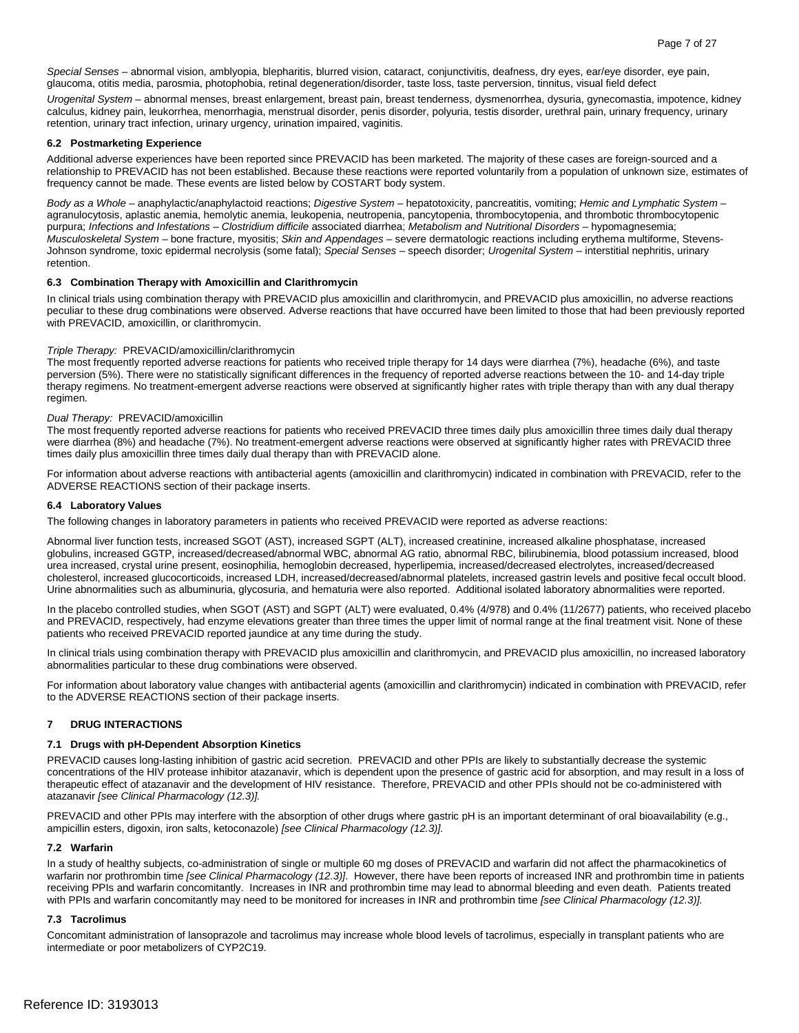*Special Senses –* abnormal vision, amblyopia, blepharitis, blurred vision, cataract, conjunctivitis, deafness, dry eyes, ear/eye disorder, eye pain, glaucoma, otitis media, parosmia, photophobia, retinal degeneration/disorder, taste loss, taste perversion, tinnitus, visual field defect

 *Urogenital System –* abnormal menses, breast enlargement, breast pain, breast tenderness, dysmenorrhea, dysuria, gynecomastia, impotence, kidney calculus, kidney pain, leukorrhea, menorrhagia, menstrual disorder, penis disorder, polyuria, testis disorder, urethral pain, urinary frequency, urinary retention, urinary tract infection, urinary urgency, urination impaired, vaginitis.

#### **6.2 Postmarketing Experience**

 relationship to PREVACID has not been established. Because these reactions were reported voluntarily from a population of unknown size, estimates of frequency cannot be made. These events are listed below by COSTART body system. Additional adverse experiences have been reported since PREVACID has been marketed. The majority of these cases are foreign-sourced and a

 *Body as a Whole –* anaphylactic/anaphylactoid reactions; *Digestive System –* hepatotoxicity, pancreatitis, vomiting; *Hemic and Lymphatic System –*  purpura; *Infections and Infestations – Clostridium difficile* associated diarrhea; *Metabolism and Nutritional Disorders* – hypomagnesemia; *Musculoskeletal System* – bone fracture, myositis; *Skin and Appendages* – severe dermatologic reactions including erythema multiforme, Stevensagranulocytosis, aplastic anemia, hemolytic anemia, leukopenia, neutropenia, pancytopenia, thrombocytopenia, and thrombotic thrombocytopenic Johnson syndrome, toxic epidermal necrolysis (some fatal); *Special Senses –* speech disorder; *Urogenital System –* interstitial nephritis, urinary retention.

#### **6.3 Combination Therapy with Amoxicillin and Clarithromycin**

 peculiar to these drug combinations were observed. Adverse reactions that have occurred have been limited to those that had been previously reported In clinical trials using combination therapy with PREVACID plus amoxicillin and clarithromycin, and PREVACID plus amoxicillin, no adverse reactions with PREVACID, amoxicillin, or clarithromycin.

#### *Triple Therapy:* PREVACID/amoxicillin/clarithromycin

The most frequently reported adverse reactions for patients who received triple therapy for 14 days were diarrhea (7%), headache (6%), and taste perversion (5%). There were no statistically significant differences in the frequency of reported adverse reactions between the 10- and 14-day triple therapy regimens. No treatment-emergent adverse reactions were observed at significantly higher rates with triple therapy than with any dual therapy regimen.

#### *Dual Therapy:* PREVACID/amoxicillin

The most frequently reported adverse reactions for patients who received PREVACID three times daily plus amoxicillin three times daily dual therapy were diarrhea (8%) and headache (7%). No treatment-emergent adverse reactions were observed at significantly higher rates with PREVACID three times daily plus amoxicillin three times daily dual therapy than with PREVACID alone.

For information about adverse reactions with antibacterial agents (amoxicillin and clarithromycin) indicated in combination with PREVACID, refer to the ADVERSE REACTIONS section of their package inserts.

#### **6.4 Laboratory Values**

The following changes in laboratory parameters in patients who received PREVACID were reported as adverse reactions:

 Abnormal liver function tests, increased SGOT (AST), increased SGPT (ALT), increased creatinine, increased alkaline phosphatase, increased globulins, increased GGTP, increased/decreased/abnormal WBC, abnormal AG ratio, abnormal RBC, bilirubinemia, blood potassium increased, blood Urine abnormalities such as albuminuria, glycosuria, and hematuria were also reported. Additional isolated laboratory abnormalities were reported. urea increased, crystal urine present, eosinophilia, hemoglobin decreased, hyperlipemia, increased/decreased electrolytes, increased/decreased cholesterol, increased glucocorticoids, increased LDH, increased/decreased/abnormal platelets, increased gastrin levels and positive fecal occult blood.

 and PREVACID, respectively, had enzyme elevations greater than three times the upper limit of normal range at the final treatment visit. None of these patients who received PREVACID reported jaundice at any time during the study. In the placebo controlled studies, when SGOT (AST) and SGPT (ALT) were evaluated, 0.4% (4/978) and 0.4% (11/2677) patients, who received placebo

 abnormalities particular to these drug combinations were observed. In clinical trials using combination therapy with PREVACID plus amoxicillin and clarithromycin, and PREVACID plus amoxicillin, no increased laboratory

For information about laboratory value changes with antibacterial agents (amoxicillin and clarithromycin) indicated in combination with PREVACID, refer to the ADVERSE REACTIONS section of their package inserts.

#### **7 DRUG INTERACTIONS**

#### **7.1 Drugs with pH-Dependent Absorption Kinetics**

 concentrations of the HIV protease inhibitor atazanavir, which is dependent upon the presence of gastric acid for absorption, and may result in a loss of therapeutic effect of atazanavir and the development of HIV resistance. Therefore, PREVACID and other PPIs should not be co-administered with PREVACID causes long-lasting inhibition of gastric acid secretion. PREVACID and other PPIs are likely to substantially decrease the systemic atazanavir *[see Clinical Pharmacology (12.3)].* 

 PREVACID and other PPIs may interfere with the absorption of other drugs where gastric pH is an important determinant of oral bioavailability (e.g., ampicillin esters, digoxin, iron salts, ketoconazole) *[see Clinical Pharmacology (12.3)].* 

#### **7.2 Warfarin**

 In a study of healthy subjects, co-administration of single or multiple 60 mg doses of PREVACID and warfarin did not affect the pharmacokinetics of warfarin nor prothrombin time *[see Clinical Pharmacology (12.3)]*. However, there have been reports of increased INR and prothrombin time in patients receiving PPIs and warfarin concomitantly. Increases in INR and prothrombin time may lead to abnormal bleeding and even death. Patients treated with PPIs and warfarin concomitantly may need to be monitored for increases in INR and prothrombin time *[see Clinical Pharmacology (12.3)].* 

#### **7.3 Tacrolimus**

Concomitant administration of lansoprazole and tacrolimus may increase whole blood levels of tacrolimus, especially in transplant patients who are intermediate or poor metabolizers of CYP2C19.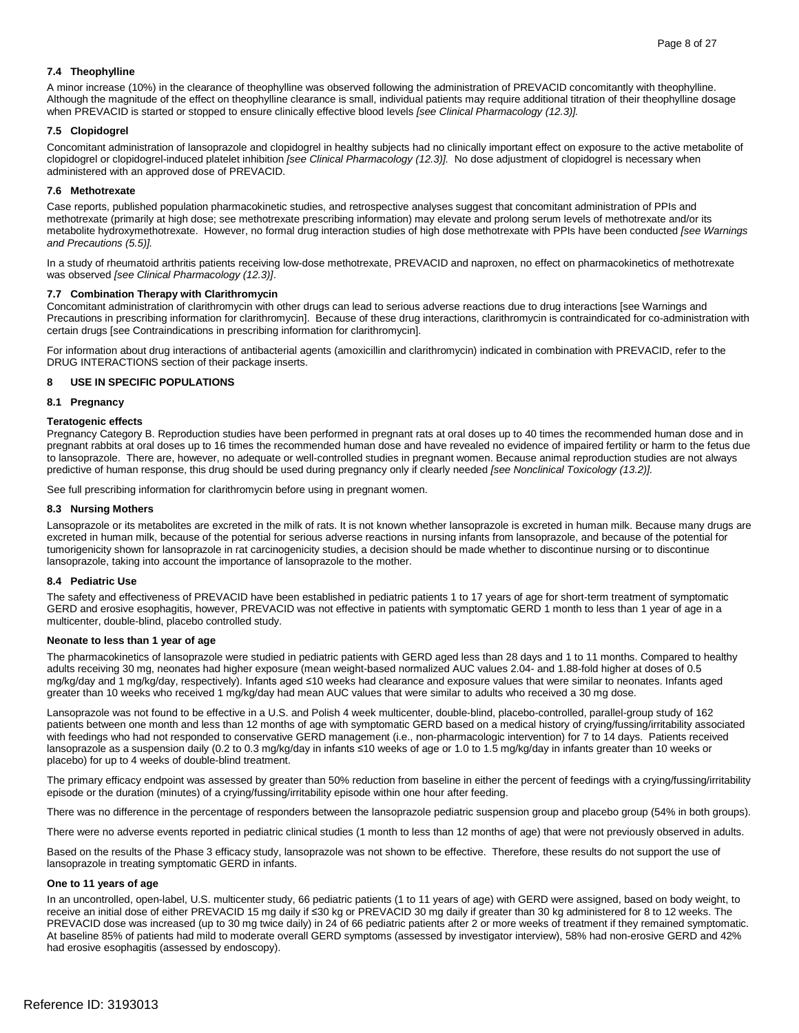#### **7.4 Theophylline**

 A minor increase (10%) in the clearance of theophylline was observed following the administration of PREVACID concomitantly with theophylline. Although the magnitude of the effect on theophylline clearance is small, individual patients may require additional titration of their theophylline dosage when PREVACID is started or stopped to ensure clinically effective blood levels *[see Clinical Pharmacology (12.3)].* 

#### **7.5 Clopidogrel**

 clopidogrel or clopidogrel-induced platelet inhibition *[see Clinical Pharmacology (12.3)].* No dose adjustment of clopidogrel is necessary when Concomitant administration of lansoprazole and clopidogrel in healthy subjects had no clinically important effect on exposure to the active metabolite of administered with an approved dose of PREVACID.

#### **7.6 Methotrexate**

 Case reports, published population pharmacokinetic studies, and retrospective analyses suggest that concomitant administration of PPIs and metabolite hydroxymethotrexate. However, no formal drug interaction studies of high dose methotrexate with PPIs have been conducted *[see Warnings*  methotrexate (primarily at high dose; see methotrexate prescribing information) may elevate and prolong serum levels of methotrexate and/or its *and Precautions (5.5)].* 

 In a study of rheumatoid arthritis patients receiving low-dose methotrexate, PREVACID and naproxen, no effect on pharmacokinetics of methotrexate was observed *[see Clinical Pharmacology (12.3)]*.

#### **7.7 Combination Therapy with Clarithromycin**

 Precautions in prescribing information for clarithromycin]. Because of these drug interactions, clarithromycin is contraindicated for co-administration with Concomitant administration of clarithromycin with other drugs can lead to serious adverse reactions due to drug interactions [see Warnings and certain drugs [see Contraindications in prescribing information for clarithromycin].

 For information about drug interactions of antibacterial agents (amoxicillin and clarithromycin) indicated in combination with PREVACID, refer to the DRUG INTERACTIONS section of their package inserts.

#### **8 USE IN SPECIFIC POPULATIONS**

#### **8.1 Pregnancy**

#### **Teratogenic effects**

 to lansoprazole. There are, however, no adequate or well-controlled studies in pregnant women. Because animal reproduction studies are not always predictive of human response, this drug should be used during pregnancy only if clearly needed *[see Nonclinical Toxicology (13.2)].*  Pregnancy Category B. Reproduction studies have been performed in pregnant rats at oral doses up to 40 times the recommended human dose and in pregnant rabbits at oral doses up to 16 times the recommended human dose and have revealed no evidence of impaired fertility or harm to the fetus due

See full prescribing information for clarithromycin before using in pregnant women.

#### **8.3 Nursing Mothers**

 Lansoprazole or its metabolites are excreted in the milk of rats. It is not known whether lansoprazole is excreted in human milk. Because many drugs are tumorigenicity shown for lansoprazole in rat carcinogenicity studies, a decision should be made whether to discontinue nursing or to discontinue excreted in human milk, because of the potential for serious adverse reactions in nursing infants from lansoprazole, and because of the potential for lansoprazole, taking into account the importance of lansoprazole to the mother.

#### **8.4 Pediatric Use**

 GERD and erosive esophagitis, however, PREVACID was not effective in patients with symptomatic GERD 1 month to less than 1 year of age in a The safety and effectiveness of PREVACID have been established in pediatric patients 1 to 17 years of age for short-term treatment of symptomatic multicenter, double-blind, placebo controlled study.

#### **Neonate to less than 1 year of age**

 adults receiving 30 mg, neonates had higher exposure (mean weight-based normalized AUC values 2.04- and 1.88-fold higher at doses of 0.5 mg/kg/day and 1 mg/kg/day, respectively). Infants aged ≤10 weeks had clearance and exposure values that were similar to neonates. Infants aged greater than 10 weeks who received 1 mg/kg/day had mean AUC values that were similar to adults who received a 30 mg dose. The pharmacokinetics of lansoprazole were studied in pediatric patients with GERD aged less than 28 days and 1 to 11 months. Compared to healthy

 lansoprazole as a suspension daily (0.2 to 0.3 mg/kg/day in infants ≤10 weeks of age or 1.0 to 1.5 mg/kg/day in infants greater than 10 weeks or Lansoprazole was not found to be effective in a U.S. and Polish 4 week multicenter, double-blind, placebo-controlled, parallel-group study of 162 patients between one month and less than 12 months of age with symptomatic GERD based on a medical history of crying/fussing/irritability associated with feedings who had not responded to conservative GERD management (i.e., non-pharmacologic intervention) for 7 to 14 days. Patients received placebo) for up to 4 weeks of double-blind treatment.

 episode or the duration (minutes) of a crying/fussing/irritability episode within one hour after feeding. The primary efficacy endpoint was assessed by greater than 50% reduction from baseline in either the percent of feedings with a crying/fussing/irritability

There was no difference in the percentage of responders between the lansoprazole pediatric suspension group and placebo group (54% in both groups).

There were no adverse events reported in pediatric clinical studies (1 month to less than 12 months of age) that were not previously observed in adults.

 Based on the results of the Phase 3 efficacy study, lansoprazole was not shown to be effective. Therefore, these results do not support the use of lansoprazole in treating symptomatic GERD in infants.

#### **One to 11 years of age**

 In an uncontrolled, open-label, U.S. multicenter study, 66 pediatric patients (1 to 11 years of age) with GERD were assigned, based on body weight, to receive an initial dose of either PREVACID 15 mg daily if ≤30 kg or PREVACID 30 mg daily if greater than 30 kg administered for 8 to 12 weeks. The PREVACID dose was increased (up to 30 mg twice daily) in 24 of 66 pediatric patients after 2 or more weeks of treatment if they remained symptomatic. At baseline 85% of patients had mild to moderate overall GERD symptoms (assessed by investigator interview), 58% had non-erosive GERD and 42% had erosive esophagitis (assessed by endoscopy).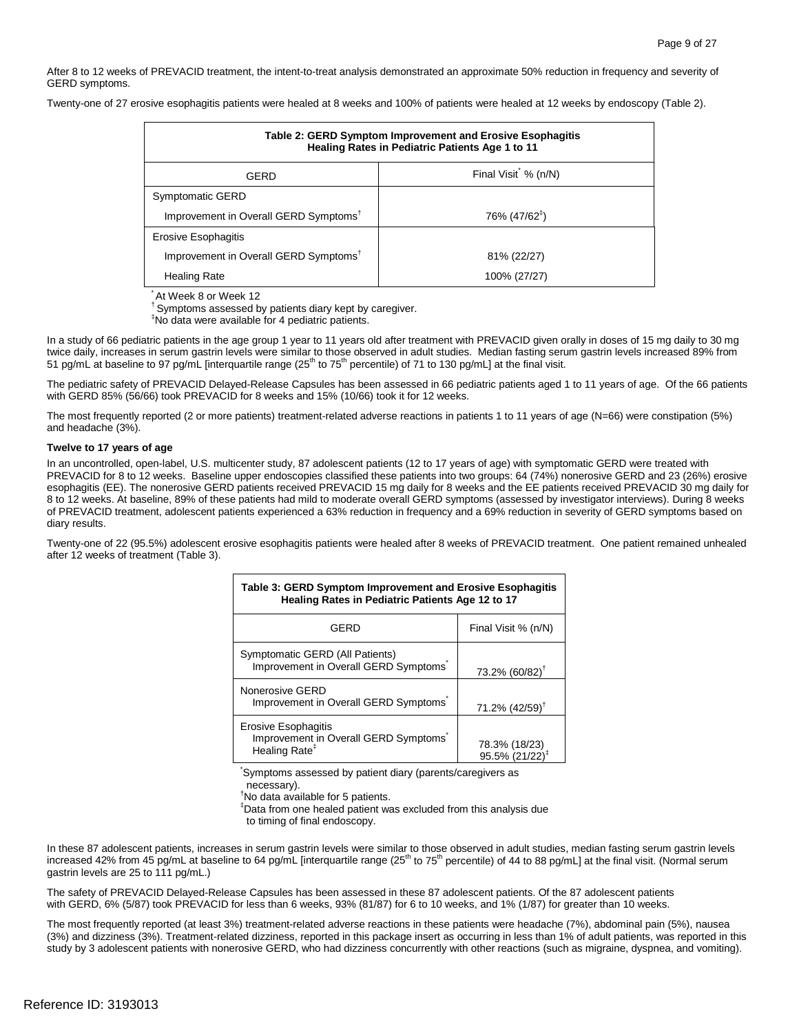Page 9 of 27<br>After 8 to 12 weeks of PREVACID treatment, the intent-to-treat analysis demonstrated an approximate 50% reduction in frequency and severity of GERD symptoms.

Twenty-one of 27 erosive esophagitis patients were healed at 8 weeks and 100% of patients were healed at 12 weeks by endoscopy (Table 2).

| Table 2: GERD Symptom Improvement and Erosive Esophagitis<br>Healing Rates in Pediatric Patients Age 1 to 11 |                           |  |  |
|--------------------------------------------------------------------------------------------------------------|---------------------------|--|--|
| GERD                                                                                                         | Final Visit % (n/N)       |  |  |
| Symptomatic GERD                                                                                             |                           |  |  |
| Improvement in Overall GERD Symptoms <sup>†</sup>                                                            | 76% (47/62 <sup>‡</sup> ) |  |  |
| Erosive Esophagitis                                                                                          |                           |  |  |
| Improvement in Overall GERD Symptoms <sup>t</sup>                                                            | 81% (22/27)               |  |  |
| <b>Healing Rate</b>                                                                                          | 100% (27/27)              |  |  |

\* At Week 8 or Week 12

<sup>†</sup> Symptoms assessed by patients diary kept by caregiver.

‡ No data were available for 4 pediatric patients.

 In a study of 66 pediatric patients in the age group 1 year to 11 years old after treatment with PREVACID given orally in doses of 15 mg daily to 30 mg twice daily, increases in serum gastrin levels were similar to those observed in adult studies. Median fasting serum gastrin levels increased 89% from 51 pg/mL at baseline to 97 pg/mL [interquartile range (25<sup>th</sup> to 75<sup>th</sup> percentile) of 71 to 130 pg/mL] at the final visit.

 The pediatric safety of PREVACID Delayed-Release Capsules has been assessed in 66 pediatric patients aged 1 to 11 years of age. Of the 66 patients with GERD 85% (56/66) took PREVACID for 8 weeks and 15% (10/66) took it for 12 weeks.

The most frequently reported (2 or more patients) treatment-related adverse reactions in patients 1 to 11 years of age (N=66) were constipation (5%) and headache (3%).

#### **Twelve to 17 years of age**

 In an uncontrolled, open-label, U.S. multicenter study, 87 adolescent patients (12 to 17 years of age) with symptomatic GERD were treated with esophagitis (EE). The nonerosive GERD patients received PREVACID 15 mg daily for 8 weeks and the EE patients received PREVACID 30 mg daily for PREVACID for 8 to 12 weeks. Baseline upper endoscopies classified these patients into two groups: 64 (74%) nonerosive GERD and 23 (26%) erosive 8 to 12 weeks. At baseline, 89% of these patients had mild to moderate overall GERD symptoms (assessed by investigator interviews). During 8 weeks of PREVACID treatment, adolescent patients experienced a 63% reduction in frequency and a 69% reduction in severity of GERD symptoms based on diary results.

Twenty-one of 22 (95.5%) adolescent erosive esophagitis patients were healed after 8 weeks of PREVACID treatment. One patient remained unhealed after 12 weeks of treatment (Table 3).

| Table 3: GERD Symptom Improvement and Erosive Esophagitis<br>Healing Rates in Pediatric Patients Age 12 to 17 |                                |  |  |  |  |
|---------------------------------------------------------------------------------------------------------------|--------------------------------|--|--|--|--|
| GERD                                                                                                          | Final Visit % (n/N)            |  |  |  |  |
| Symptomatic GERD (All Patients)<br>Improvement in Overall GERD Symptoms                                       | 73.2% (60/82) <sup>†</sup>     |  |  |  |  |
| Nonerosive GERD<br>Improvement in Overall GERD Symptoms                                                       | $71.2\%$ (42/59) <sup>†</sup>  |  |  |  |  |
| Erosive Esophagitis<br>Improvement in Overall GERD Symptoms<br>Healing Rate <sup>#</sup>                      | 78.3% (18/23)<br>95.5% (21/22) |  |  |  |  |

\* Symptoms assessed by patient diary (parents/caregivers as

necessary).

† No data available for 5 patients.

‡ Data from one healed patient was excluded from this analysis due

to timing of final endoscopy.

 In these 87 adolescent patients, increases in serum gastrin levels were similar to those observed in adult studies, median fasting serum gastrin levels increased 42% from 45 pg/mL at baseline to 64 pg/mL [interquartile range (25<sup>th</sup> to 75<sup>th</sup> percentile) of 44 to 88 pg/mL] at the final visit. (Normal serum gastrin levels are 25 to 111 pg/mL.)

 The safety of PREVACID Delayed-Release Capsules has been assessed in these 87 adolescent patients. Of the 87 adolescent patients with GERD, 6% (5/87) took PREVACID for less than 6 weeks, 93% (81/87) for 6 to 10 weeks, and 1% (1/87) for greater than 10 weeks.

The most frequently reported (at least 3%) treatment-related adverse reactions in these patients were headache (7%), abdominal pain (5%), nausea (3%) and dizziness (3%). Treatment-related dizziness, reported in this package insert as occurring in less than 1% of adult patients, was reported in this study by 3 adolescent patients with nonerosive GERD, who had dizziness concurrently with other reactions (such as migraine, dyspnea, and vomiting).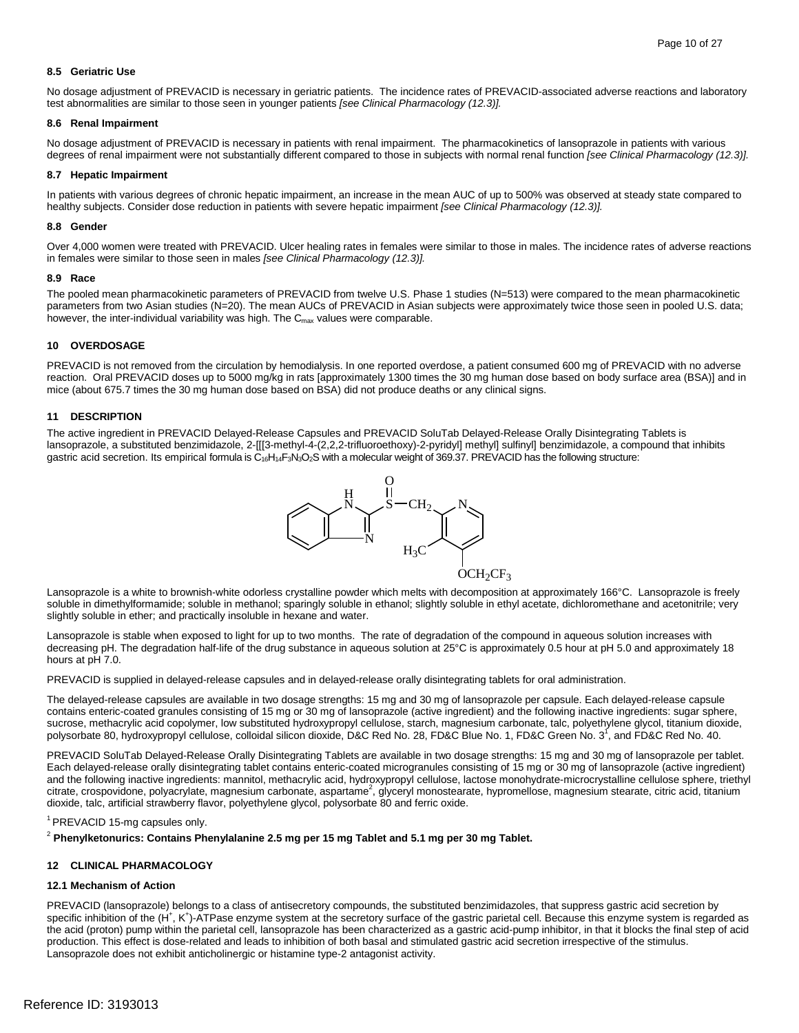#### **8.5 Geriatric Use**

 No dosage adjustment of PREVACID is necessary in geriatric patients. The incidence rates of PREVACID-associated adverse reactions and laboratory test abnormalities are similar to those seen in younger patients *[see Clinical Pharmacology (12.3)].* 

#### **8.6 Renal Impairment**

 degrees of renal impairment were not substantially different compared to those in subjects with normal renal function *[see Clinical Pharmacology (12.3)].*  No dosage adjustment of PREVACID is necessary in patients with renal impairment. The pharmacokinetics of lansoprazole in patients with various

#### **8.7 Hepatic Impairment**

 In patients with various degrees of chronic hepatic impairment, an increase in the mean AUC of up to 500% was observed at steady state compared to healthy subjects. Consider dose reduction in patients with severe hepatic impairment *[see Clinical Pharmacology (12.3)].* 

#### **8.8 Gender**

Over 4,000 women were treated with PREVACID. Ulcer healing rates in females were similar to those in males. The incidence rates of adverse reactions in females were similar to those seen in males *[see Clinical Pharmacology (12.3)].* 

#### **8.9 Race**

 The pooled mean pharmacokinetic parameters of PREVACID from twelve U.S. Phase 1 studies (N=513) were compared to the mean pharmacokinetic parameters from two Asian studies (N=20). The mean AUCs of PREVACID in Asian subjects were approximately twice those seen in pooled U.S. data; however, the inter-individual variability was high. The  $C_{\text{max}}$  values were comparable.

#### **10 OVERDOSAGE**

 PREVACID is not removed from the circulation by hemodialysis. In one reported overdose, a patient consumed 600 mg of PREVACID with no adverse reaction. Oral PREVACID doses up to 5000 mg/kg in rats [approximately 1300 times the 30 mg human dose based on body surface area (BSA)] and in mice (about 675.7 times the 30 mg human dose based on BSA) did not produce deaths or any clinical signs.

#### **11 DESCRIPTION**

 The active ingredient in PREVACID Delayed-Release Capsules and PREVACID SoluTab Delayed-Release Orally Disintegrating Tablets is gastric acid secretion. Its empirical formula is  $C_{16}H_{14}F_3N_3O_2S$  with a molecular weight of 369.37. PREVACID has the following structure: lansoprazole, a substituted benzimidazole, 2-[[[3-methyl-4-(2,2,2-trifluoroethoxy)-2-pyridyl] methyl] sulfinyl] benzimidazole, a compound that inhibits



 Lansoprazole is a white to brownish-white odorless crystalline powder which melts with decomposition at approximately 166°C. Lansoprazole is freely soluble in dimethylformamide; soluble in methanol; sparingly soluble in ethanol; slightly soluble in ethyl acetate, dichloromethane and acetonitrile; very slightly soluble in ether; and practically insoluble in hexane and water.

 Lansoprazole is stable when exposed to light for up to two months. The rate of degradation of the compound in aqueous solution increases with decreasing pH. The degradation half-life of the drug substance in aqueous solution at 25°C is approximately 0.5 hour at pH 5.0 and approximately 18 hours at pH 7.0.

PREVACID is supplied in delayed-release capsules and in delayed-release orally disintegrating tablets for oral administration.

 contains enteric-coated granules consisting of 15 mg or 30 mg of lansoprazole (active ingredient) and the following inactive ingredients: sugar sphere, sucrose, methacrylic acid copolymer, low substituted hydroxypropyl cellulose, starch, magnesium carbonate, talc, polyethylene glycol, titanium dioxide, polysorbate 80, hydroxypropyl cellulose, colloidal silicon dioxide, D&C Red No. 28, FD&C Blue No. 1, FD&C Green No. 3<sup>1</sup>, and FD&C Red No. 40. The delayed-release capsules are available in two dosage strengths: 15 mg and 30 mg of lansoprazole per capsule. Each delayed-release capsule

 PREVACID SoluTab Delayed-Release Orally Disintegrating Tablets are available in two dosage strengths: 15 mg and 30 mg of lansoprazole per tablet. Each delayed-release orally disintegrating tablet contains enteric-coated microgranules consisting of 15 mg or 30 mg of lansoprazole (active ingredient) and the following inactive ingredients: mannitol, methacrylic acid, hydroxypropyl cellulose, lactose monohydrate-microcrystalline cellulose sphere, triethyl citrate, crospovidone, polyacrylate, magnesium carbonate, aspartame<sup>2</sup>, glyceryl monostearate, hypromellose, magnesium stearate, citric acid, titanium dioxide, talc, artificial strawberry flavor, polyethylene glycol, polysorbate 80 and ferric oxide.

<sup>1</sup> PREVACID 15-mg capsules only.<br><sup>2</sup> Phenylketonurics: Contains Phenylalanine 2.5 mg per 15 mg Tablet and 5.1 mg per 30 mg Tablet.

#### **12 CLINICAL PHARMACOLOGY**

#### **12.1 Mechanism of Action**

PREVACID (lansoprazole) belongs to a class of antisecretory compounds, the substituted benzimidazoles, that suppress gastric acid secretion by specific inhibition of the (H<sup>+</sup>, K<sup>+</sup>)-ATPase enzyme system at the secretory surface of the gastric parietal cell. Because this enzyme system is regarded as the acid (proton) pump within the parietal cell, lansoprazole has been characterized as a gastric acid-pump inhibitor, in that it blocks the final step of acid production. This effect is dose-related and leads to inhibition of both basal and stimulated gastric acid secretion irrespective of the stimulus. Lansoprazole does not exhibit anticholinergic or histamine type-2 antagonist activity.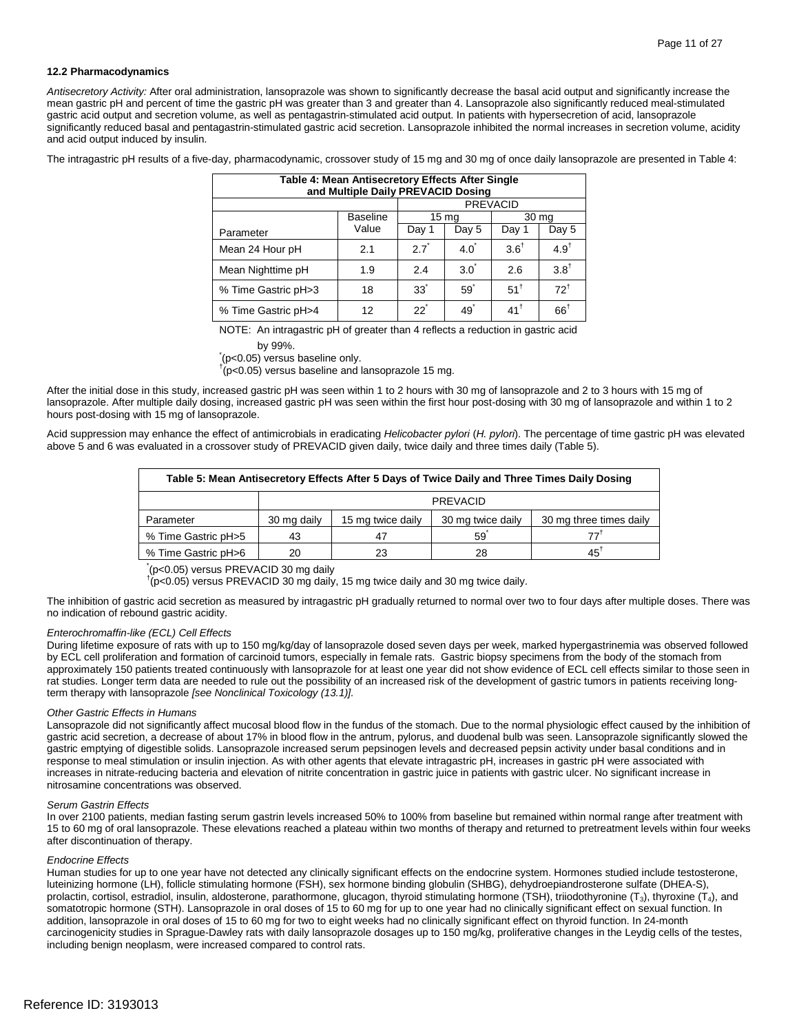#### **12.2 Pharmacodynamics**

 mean gastric pH and percent of time the gastric pH was greater than 3 and greater than 4. Lansoprazole also significantly reduced meal-stimulated significantly reduced basal and pentagastrin-stimulated gastric acid secretion. Lansoprazole inhibited the normal increases in secretion volume, acidity *Antisecretory Activity:* After oral administration, lansoprazole was shown to significantly decrease the basal acid output and significantly increase the gastric acid output and secretion volume, as well as pentagastrin-stimulated acid output. In patients with hypersecretion of acid, lansoprazole and acid output induced by insulin.

The intragastric pH results of a five-day, pharmacodynamic, crossover study of 15 mg and 30 mg of once daily lansoprazole are presented in Table 4:

| Table 4: Mean Antisecretory Effects After Single<br>and Multiple Daily PREVACID Dosing |                 |                 |                  |                 |                  |
|----------------------------------------------------------------------------------------|-----------------|-----------------|------------------|-----------------|------------------|
|                                                                                        |                 |                 |                  | <b>PREVACID</b> |                  |
|                                                                                        | <b>Baseline</b> |                 | 15 <sub>mg</sub> |                 | 30 mg            |
| Parameter                                                                              | Value           | Day 1           | Day 5            | Day 1           | Day 5            |
| Mean 24 Hour pH                                                                        | 2.1             | $27*$           | $4.0^{\degree}$  | $3.6^{\dagger}$ | 4.9 <sup>†</sup> |
| Mean Nighttime pH                                                                      | 1.9             | 2.4             | 3.0              | 2.6             | $3.8^{\dagger}$  |
| % Time Gastric pH>3                                                                    | 18              | 33 <sup>°</sup> | 59               | $51^{\dagger}$  | $72^{\dagger}$   |
| % Time Gastric pH>4                                                                    | 12              | $22^{\degree}$  | $49^{\degree}$   | $41^{\dagger}$  | $66^{\dagger}$   |

NOTE: An intragastric pH of greater than 4 reflects a reduction in gastric acid

by 99%. \* (p<0.05) versus baseline only.

 $\sim$   $(p<0.05)$  versus baseline and lansoprazole 15 mg.

 After the initial dose in this study, increased gastric pH was seen within 1 to 2 hours with 30 mg of lansoprazole and 2 to 3 hours with 15 mg of lansoprazole. After multiple daily dosing, increased gastric pH was seen within the first hour post-dosing with 30 mg of lansoprazole and within 1 to 2 hours post-dosing with 15 mg of lansoprazole.

 Acid suppression may enhance the effect of antimicrobials in eradicating *Helicobacter pylori* (*H. pylori*). The percentage of time gastric pH was elevated above 5 and 6 was evaluated in a crossover study of PREVACID given daily, twice daily and three times daily (Table 5).

| Table 5: Mean Antisecretory Effects After 5 Days of Twice Daily and Three Times Daily Dosing |             |                   |                   |                         |  |
|----------------------------------------------------------------------------------------------|-------------|-------------------|-------------------|-------------------------|--|
|                                                                                              | PREVACID    |                   |                   |                         |  |
| Parameter                                                                                    | 30 mg daily | 15 mg twice daily | 30 mg twice daily | 30 mg three times daily |  |
| % Time Gastric pH>5                                                                          | 43          | 47                | 59                | 771                     |  |
| % Time Gastric pH>6                                                                          | 20          | 23                | 28                | $45^{\dagger}$          |  |

\* (p<0.05) versus PREVACID 30 mg daily

 $\overline{f}$ (p<0.05) versus PREVACID 30 mg daily, 15 mg twice daily and 30 mg twice daily.

The inhibition of gastric acid secretion as measured by intragastric pH gradually returned to normal over two to four days after multiple doses. There was no indication of rebound gastric acidity.

#### *Enterochromaffin-like (ECL) Cell Effects*

 During lifetime exposure of rats with up to 150 mg/kg/day of lansoprazole dosed seven days per week, marked hypergastrinemia was observed followed by ECL cell proliferation and formation of carcinoid tumors, especially in female rats. Gastric biopsy specimens from the body of the stomach from approximately 150 patients treated continuously with lansoprazole for at least one year did not show evidence of ECL cell effects similar to those seen in rat studies. Longer term data are needed to rule out the possibility of an increased risk of the development of gastric tumors in patients receiving longterm therapy with lansoprazole *[see Nonclinical Toxicology (13.1)].* 

#### *Other Gastric Effects in Humans*

 Lansoprazole did not significantly affect mucosal blood flow in the fundus of the stomach. Due to the normal physiologic effect caused by the inhibition of gastric acid secretion, a decrease of about 17% in blood flow in the antrum, pylorus, and duodenal bulb was seen. Lansoprazole significantly slowed the gastric emptying of digestible solids. Lansoprazole increased serum pepsinogen levels and decreased pepsin activity under basal conditions and in response to meal stimulation or insulin injection. As with other agents that elevate intragastric pH, increases in gastric pH were associated with increases in nitrate-reducing bacteria and elevation of nitrite concentration in gastric juice in patients with gastric ulcer. No significant increase in nitrosamine concentrations was observed.

#### *Serum Gastrin Effects*

 15 to 60 mg of oral lansoprazole. These elevations reached a plateau within two months of therapy and returned to pretreatment levels within four weeks In over 2100 patients, median fasting serum gastrin levels increased 50% to 100% from baseline but remained within normal range after treatment with after discontinuation of therapy.

#### *Endocrine Effects*

 somatotropic hormone (STH). Lansoprazole in oral doses of 15 to 60 mg for up to one year had no clinically significant effect on sexual function. In addition, lansoprazole in oral doses of 15 to 60 mg for two to eight weeks had no clinically significant effect on thyroid function. In 24-month carcinogenicity studies in Sprague-Dawley rats with daily lansoprazole dosages up to 150 mg/kg, proliferative changes in the Leydig cells of the testes, Human studies for up to one year have not detected any clinically significant effects on the endocrine system. Hormones studied include testosterone, luteinizing hormone (LH), follicle stimulating hormone (FSH), sex hormone binding globulin (SHBG), dehydroepiandrosterone sulfate (DHEA-S), prolactin, cortisol, estradiol, insulin, aldosterone, parathormone, glucagon, thyroid stimulating hormone (TSH), triiodothyronine (T<sub>3</sub>), thyroxine (T<sub>4</sub>), and including benign neoplasm, were increased compared to control rats.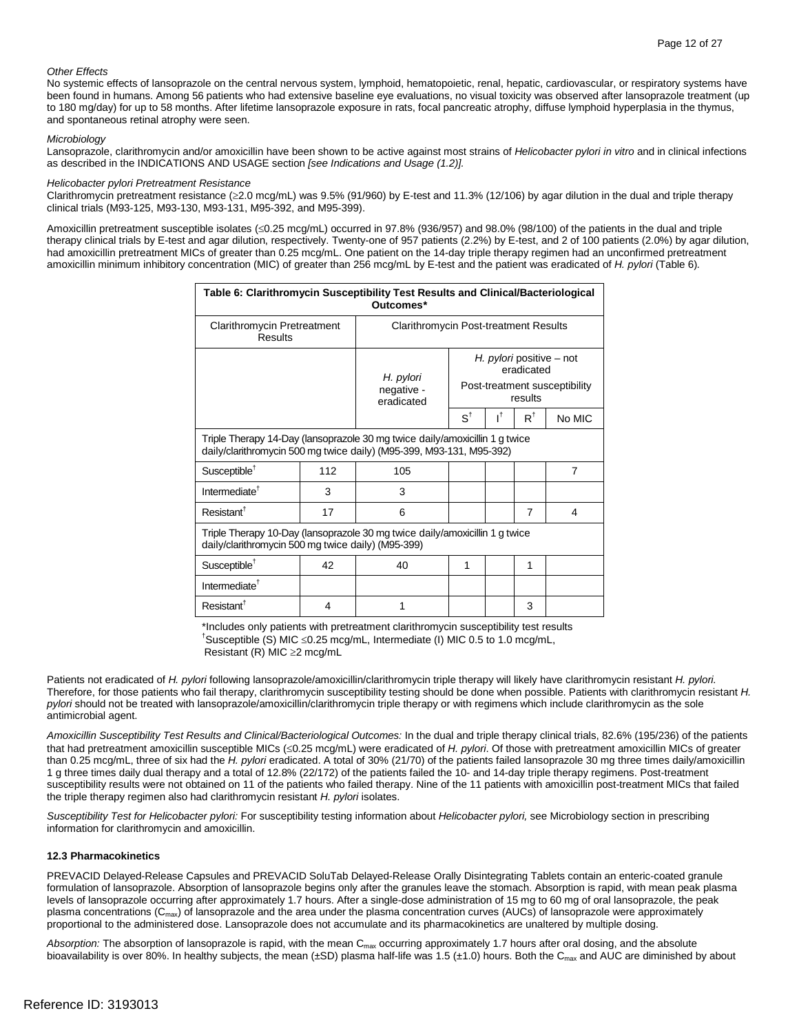#### *Other Effects*

 been found in humans. Among 56 patients who had extensive baseline eye evaluations, no visual toxicity was observed after lansoprazole treatment (up No systemic effects of lansoprazole on the central nervous system, lymphoid, hematopoietic, renal, hepatic, cardiovascular, or respiratory systems have to 180 mg/day) for up to 58 months. After lifetime lansoprazole exposure in rats, focal pancreatic atrophy, diffuse lymphoid hyperplasia in the thymus, and spontaneous retinal atrophy were seen.

#### *Microbiology*

 Lansoprazole, clarithromycin and/or amoxicillin have been shown to be active against most strains of *Helicobacter pylori in vitro* and in clinical infections as described in the INDICATIONS AND USAGE section *[see Indications and Usage (1.2)].* 

#### *Helicobacter pylori Pretreatment Resistance*

 Clarithromycin pretreatment resistance (≥2.0 mcg/mL) was 9.5% (91/960) by E-test and 11.3% (12/106) by agar dilution in the dual and triple therapy clinical trials (M93-125, M93-130, M93-131, M95-392, and M95-399).

 therapy clinical trials by E-test and agar dilution, respectively. Twenty-one of 957 patients (2.2%) by E-test, and 2 of 100 patients (2.0%) by agar dilution, Amoxicillin pretreatment susceptible isolates (≤0.25 mcg/mL) occurred in 97.8% (936/957) and 98.0% (98/100) of the patients in the dual and triple had amoxicillin pretreatment MICs of greater than 0.25 mcg/mL. One patient on the 14-day triple therapy regimen had an unconfirmed pretreatment amoxicillin minimum inhibitory concentration (MIC) of greater than 256 mcg/mL by E-test and the patient was eradicated of *H. pylori* (Table 6)*.* 

| Table 6: Clarithromycin Susceptibility Test Results and Clinical/Bacteriological<br>Outcomes*                                                       |                                       |                                       |                                                                                    |    |               |        |
|-----------------------------------------------------------------------------------------------------------------------------------------------------|---------------------------------------|---------------------------------------|------------------------------------------------------------------------------------|----|---------------|--------|
| <b>Clarithromycin Pretreatment</b><br>Results                                                                                                       | Clarithromycin Post-treatment Results |                                       |                                                                                    |    |               |        |
|                                                                                                                                                     |                                       | H. pylori<br>negative -<br>eradicated | H. pylori positive – not<br>eradicated<br>Post-treatment susceptibility<br>results |    |               |        |
|                                                                                                                                                     |                                       |                                       | $S^{\dagger}$                                                                      | ıt | $R^{\dagger}$ | No MIC |
| Triple Therapy 14-Day (lansoprazole 30 mg twice daily/amoxicillin 1 g twice<br>daily/clarithromycin 500 mg twice daily) (M95-399, M93-131, M95-392) |                                       |                                       |                                                                                    |    |               |        |
| Susceptible <sup>†</sup>                                                                                                                            | 112                                   | 105                                   |                                                                                    |    |               | 7      |
| Intermediate <sup>†</sup>                                                                                                                           | 3                                     | 3                                     |                                                                                    |    |               |        |
| Resistant <sup>†</sup>                                                                                                                              | 17                                    | 6                                     |                                                                                    |    | 7             | 4      |
| Triple Therapy 10-Day (lansoprazole 30 mg twice daily/amoxicillin 1 g twice<br>daily/clarithromycin 500 mg twice daily) (M95-399)                   |                                       |                                       |                                                                                    |    |               |        |
| Susceptible <sup>†</sup>                                                                                                                            | 42                                    | 40                                    | 1                                                                                  |    | 1             |        |
| Intermediate <sup><math>\dagger</math></sup>                                                                                                        |                                       |                                       |                                                                                    |    |               |        |
| Resistant <sup>†</sup>                                                                                                                              | 4                                     | 1                                     |                                                                                    |    | 3             |        |

\*Includes only patients with pretreatment clarithromycin susceptibility test results

† Susceptible (S) MIC ≤0.25 mcg/mL, Intermediate (I) MIC 0.5 to 1.0 mcg/mL,

Resistant (R) MIC ≥2 mcg/mL

Patients not eradicated of *H. pylori* following lansoprazole/amoxicillin/clarithromycin triple therapy will likely have clarithromycin resistant *H. pylori.*  Therefore, for those patients who fail therapy, clarithromycin susceptibility testing should be done when possible. Patients with clarithromycin resistant *H. pylori* should not be treated with lansoprazole/amoxicillin/clarithromycin triple therapy or with regimens which include clarithromycin as the sole antimicrobial agent.

Amoxicillin Susceptibility Test Results and Clinical/Bacteriological Outcomes: In the dual and triple therapy clinical trials, 82.6% (195/236) of the patients that had pretreatment amoxicillin susceptible MICs (≤0.25 mcg/mL) were eradicated of *H. pylori*. Of those with pretreatment amoxicillin MICs of greater than 0.25 mcg/mL, three of six had the *H. pylori* eradicated. A total of 30% (21/70) of the patients failed lansoprazole 30 mg three times daily/amoxicillin 1 g three times daily dual therapy and a total of 12.8% (22/172) of the patients failed the 10- and 14-day triple therapy regimens. Post-treatment susceptibility results were not obtained on 11 of the patients who failed therapy. Nine of the 11 patients with amoxicillin post-treatment MICs that failed the triple therapy regimen also had clarithromycin resistant *H. pylori* isolates.

 *Susceptibility Test for Helicobacter pylori:* For susceptibility testing information about *Helicobacter pylori,* see Microbiology section in prescribing information for clarithromycin and amoxicillin.

#### **12.3 Pharmacokinetics**

 PREVACID Delayed-Release Capsules and PREVACID SoluTab Delayed-Release Orally Disintegrating Tablets contain an enteric-coated granule formulation of lansoprazole. Absorption of lansoprazole begins only after the granules leave the stomach. Absorption is rapid, with mean peak plasma levels of lansoprazole occurring after approximately 1.7 hours. After a single-dose administration of 15 mg to 60 mg of oral lansoprazole, the peak plasma concentrations ( $C_{\text{max}}$ ) of lansoprazole and the area under the plasma concentration curves (AUCs) of lansoprazole were approximately proportional to the administered dose. Lansoprazole does not accumulate and its pharmacokinetics are unaltered by multiple dosing.

bioavailability is over 80%. In healthy subjects, the mean (±SD) plasma half-life was 1.5 (±1.0) hours. Both the C<sub>max</sub> and AUC are diminished by about Absorption: The absorption of lansoprazole is rapid, with the mean C<sub>max</sub> occurring approximately 1.7 hours after oral dosing, and the absolute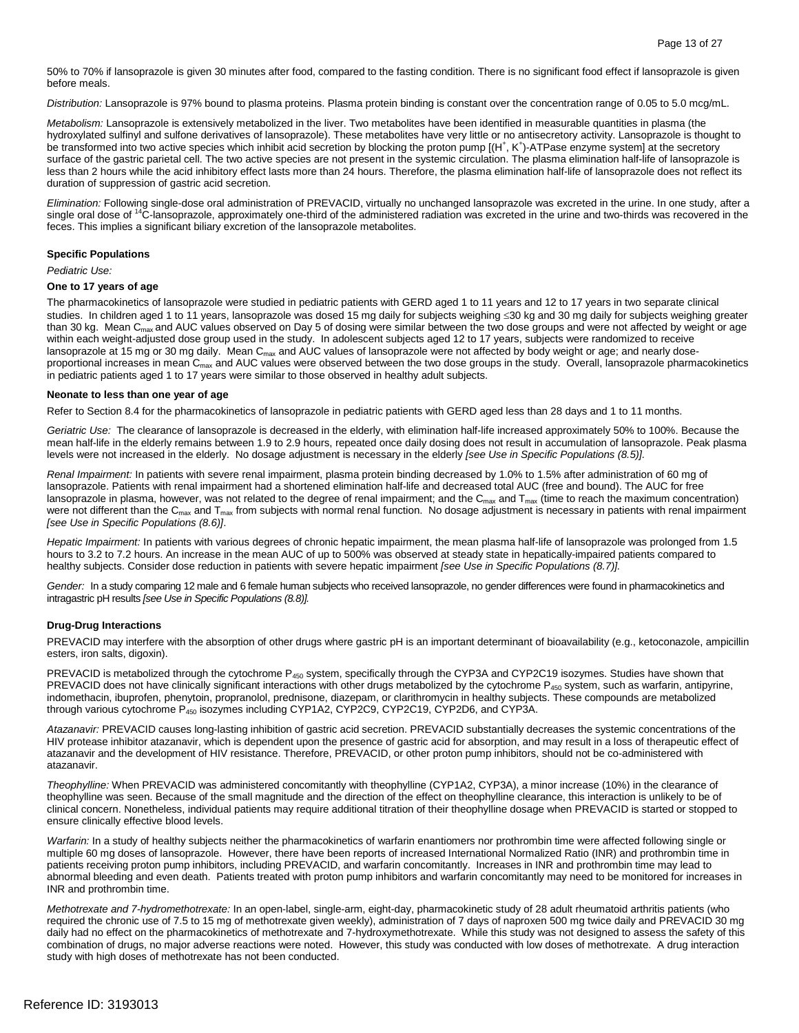50% to 70% if lansoprazole is given 30 minutes after food, compared to the fasting condition. There is no significant food effect if lansoprazole is given before meals.

*Distribution:* Lansoprazole is 97% bound to plasma proteins. Plasma protein binding is constant over the concentration range of 0.05 to 5.0 mcg/mL.

 hydroxylated sulfinyl and sulfone derivatives of lansoprazole). These metabolites have very little or no antisecretory activity. Lansoprazole is thought to surface of the gastric parietal cell. The two active species are not present in the systemic circulation. The plasma elimination half-life of lansoprazole is less than 2 hours while the acid inhibitory effect lasts more than 24 hours. Therefore, the plasma elimination half-life of lansoprazole does not reflect its *Metabolism:* Lansoprazole is extensively metabolized in the liver. Two metabolites have been identified in measurable quantities in plasma (the be transformed into two active species which inhibit acid secretion by blocking the proton pump [(H<sup>+</sup>, K<sup>+</sup>)-ATPase enzyme system] at the secretory duration of suppression of gastric acid secretion.

*Elimination:* Following single-dose oral administration of PREVACID, virtually no unchanged lansoprazole was excreted in the urine. In one study, after a single oral dose of <sup>14</sup>C-lansoprazole, approximately one-third of the administered radiation was excreted in the urine and two-thirds was recovered in the feces. This implies a significant biliary excretion of the lansoprazole metabolites.

#### **Specific Populations**

*Pediatric Use:* 

#### **One to 17 years of age**

 studies. In children aged 1 to 11 years, lansoprazole was dosed 15 mg daily for subjects weighing ≤30 kg and 30 mg daily for subjects weighing greater than 30 kg. Mean C<sub>max</sub> and AUC values observed on Day 5 of dosing were similar between the two dose groups and were not affected by weight or age within each weight-adjusted dose group used in the study. In adolescent subjects aged 12 to 17 years, subjects were randomized to receive lansoprazole at 15 mg or 30 mg daily. Mean C<sub>max</sub> and AUC values of lansoprazole were not affected by body weight or age; and nearly doseproportional increases in mean C<sub>max</sub> and AUC values were observed between the two dose groups in the study. Overall, lansoprazole pharmacokinetics in pediatric patients aged 1 to 17 years were similar to those observed in healthy adult subjects. The pharmacokinetics of lansoprazole were studied in pediatric patients with GERD aged 1 to 11 years and 12 to 17 years in two separate clinical

#### **Neonate to less than one year of age**

Refer to Section 8.4 for the pharmacokinetics of lansoprazole in pediatric patients with GERD aged less than 28 days and 1 to 11 months.

Geriatric Use: The clearance of lansoprazole is decreased in the elderly, with elimination half-life increased approximately 50% to 100%. Because the levels were not increased in the elderly. No dosage adjustment is necessary in the elderly *[see Use in Specific Populations (8.5)].*  mean half-life in the elderly remains between 1.9 to 2.9 hours, repeated once daily dosing does not result in accumulation of lansoprazole. Peak plasma

lansoprazole in plasma, however, was not related to the degree of renal impairment; and the C<sub>max</sub> and T<sub>max</sub> (time to reach the maximum concentration) were not different than the C<sub>max</sub> and T<sub>max</sub> from subjects with normal renal function. No dosage adjustment is necessary in patients with renal impairment *Renal Impairment:* In patients with severe renal impairment, plasma protein binding decreased by 1.0% to 1.5% after administration of 60 mg of lansoprazole. Patients with renal impairment had a shortened elimination half-life and decreased total AUC (free and bound). The AUC for free *[see Use in Specific Populations (8.6)]*.

 *Hepatic Impairment:* In patients with various degrees of chronic hepatic impairment, the mean plasma half-life of lansoprazole was prolonged from 1.5  healthy subjects. Consider dose reduction in patients with severe hepatic impairment *[see Use in Specific Populations (8.7)].*  hours to 3.2 to 7.2 hours. An increase in the mean AUC of up to 500% was observed at steady state in hepatically-impaired patients compared to

 *Gender:* In a study comparing 12 male and 6 female human subjects who received lansoprazole, no gender differences were found in pharmacokinetics and intragastric pH results *[see Use in Specific Populations (8.8)].* 

#### **Drug-Drug Interactions**

 esters, iron salts, digoxin). PREVACID may interfere with the absorption of other drugs where gastric pH is an important determinant of bioavailability (e.g., ketoconazole, ampicillin

 PREVACID is metabolized through the cytochrome P450 system, specifically through the CYP3A and CYP2C19 isozymes. Studies have shown that PREVACID does not have clinically significant interactions with other drugs metabolized by the cytochrome P<sub>450</sub> system, such as warfarin, antipyrine, indomethacin, ibuprofen, phenytoin, propranolol, prednisone, diazepam, or clarithromycin in healthy subjects. These compounds are metabolized through various cytochrome P $_{450}$  isozymes including CYP1A2, CYP2C9, CYP2C19, CYP2D6, and CYP3A.

 *Atazanavir:* PREVACID causes long-lasting inhibition of gastric acid secretion. PREVACID substantially decreases the systemic concentrations of the HIV protease inhibitor atazanavir, which is dependent upon the presence of gastric acid for absorption, and may result in a loss of therapeutic effect of atazanavir and the development of HIV resistance. Therefore, PREVACID, or other proton pump inhibitors, should not be co-administered with atazanavir.

 *Theophylline:* When PREVACID was administered concomitantly with theophylline (CYP1A2, CYP3A), a minor increase (10%) in the clearance of theophylline was seen. Because of the small magnitude and the direction of the effect on theophylline clearance, this interaction is unlikely to be of clinical concern. Nonetheless, individual patients may require additional titration of their theophylline dosage when PREVACID is started or stopped to ensure clinically effective blood levels.

 *Warfarin:* In a study of healthy subjects neither the pharmacokinetics of warfarin enantiomers nor prothrombin time were affected following single or multiple 60 mg doses of lansoprazole. However, there have been reports of increased International Normalized Ratio (INR) and prothrombin time in patients receiving proton pump inhibitors, including PREVACID, and warfarin concomitantly. Increases in INR and prothrombin time may lead to abnormal bleeding and even death. Patients treated with proton pump inhibitors and warfarin concomitantly may need to be monitored for increases in INR and prothrombin time.

 required the chronic use of 7.5 to 15 mg of methotrexate given weekly), administration of 7 days of naproxen 500 mg twice daily and PREVACID 30 mg combination of drugs, no major adverse reactions were noted. However, this study was conducted with low doses of methotrexate. A drug interaction study with high doses of methotrexate has not been conducted. *Methotrexate and 7-hydromethotrexate:* In an open-label, single-arm, eight-day, pharmacokinetic study of 28 adult rheumatoid arthritis patients (who daily had no effect on the pharmacokinetics of methotrexate and 7-hydroxymethotrexate. While this study was not designed to assess the safety of this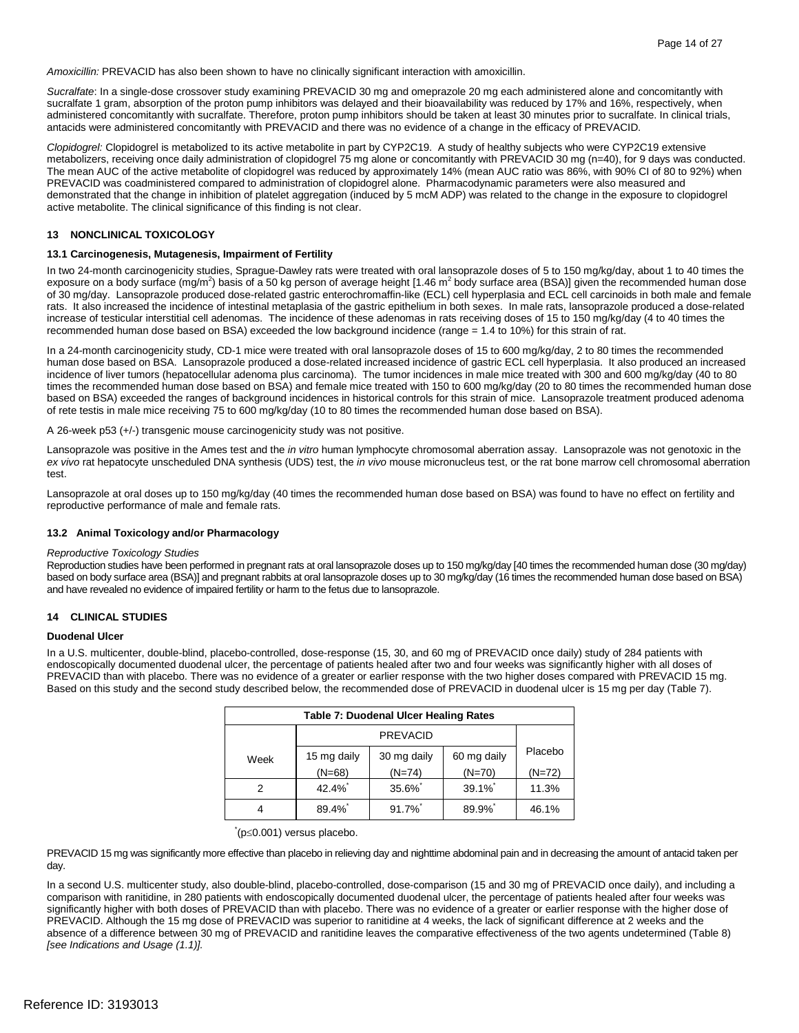*Amoxicillin:* PREVACID has also been shown to have no clinically significant interaction with amoxicillin.

 administered concomitantly with sucralfate. Therefore, proton pump inhibitors should be taken at least 30 minutes prior to sucralfate. In clinical trials, *Sucralfate*: In a single-dose crossover study examining PREVACID 30 mg and omeprazole 20 mg each administered alone and concomitantly with sucralfate 1 gram, absorption of the proton pump inhibitors was delayed and their bioavailability was reduced by 17% and 16%, respectively, when antacids were administered concomitantly with PREVACID and there was no evidence of a change in the efficacy of PREVACID.

 *Clopidogrel:* Clopidogrel is metabolized to its active metabolite in part by CYP2C19. A study of healthy subjects who were CYP2C19 extensive metabolizers, receiving once daily administration of clopidogrel 75 mg alone or concomitantly with PREVACID 30 mg (n=40), for 9 days was conducted. The mean AUC of the active metabolite of clopidogrel was reduced by approximately 14% (mean AUC ratio was 86%, with 90% CI of 80 to 92%) when PREVACID was coadministered compared to administration of clopidogrel alone. Pharmacodynamic parameters were also measured and active metabolite. The clinical significance of this finding is not clear. demonstrated that the change in inhibition of platelet aggregation (induced by 5 mcM ADP) was related to the change in the exposure to clopidogrel

#### **13 NONCLINICAL TOXICOLOGY**

#### **13.1 Carcinogenesis, Mutagenesis, Impairment of Fertility**

 In two 24-month carcinogenicity studies, Sprague-Dawley rats were treated with oral lansoprazole doses of 5 to 150 mg/kg/day, about 1 to 40 times the exposure on a body surface (mg/m<sup>2</sup>) basis of a 50 kg person of average height [1.46 m<sup>2</sup> body surface area (BSA)] given the recommended human dose of 30 mg/day. Lansoprazole produced dose-related gastric enterochromaffin-like (ECL) cell hyperplasia and ECL cell carcinoids in both male and female rats. It also increased the incidence of intestinal metaplasia of the gastric epithelium in both sexes. In male rats, lansoprazole produced a dose-related recommended human dose based on BSA) exceeded the low background incidence (range = 1.4 to 10%) for this strain of rat. increase of testicular interstitial cell adenomas. The incidence of these adenomas in rats receiving doses of 15 to 150 mg/kg/day (4 to 40 times the

 incidence of liver tumors (hepatocellular adenoma plus carcinoma). The tumor incidences in male mice treated with 300 and 600 mg/kg/day (40 to 80 based on BSA) exceeded the ranges of background incidences in historical controls for this strain of mice. Lansoprazole treatment produced adenoma of rete testis in male mice receiving 75 to 600 mg/kg/day (10 to 80 times the recommended human dose based on BSA). In a 24-month carcinogenicity study, CD-1 mice were treated with oral lansoprazole doses of 15 to 600 mg/kg/day, 2 to 80 times the recommended human dose based on BSA. Lansoprazole produced a dose-related increased incidence of gastric ECL cell hyperplasia. It also produced an increased times the recommended human dose based on BSA) and female mice treated with 150 to 600 mg/kg/day (20 to 80 times the recommended human dose

A 26-week p53 (+/-) transgenic mouse carcinogenicity study was not positive.

 *ex vivo* rat hepatocyte unscheduled DNA synthesis (UDS) test, the *in vivo* mouse micronucleus test, or the rat bone marrow cell chromosomal aberration Lansoprazole was positive in the Ames test and the *in vitro* human lymphocyte chromosomal aberration assay. Lansoprazole was not genotoxic in the test.

 reproductive performance of male and female rats. Lansoprazole at oral doses up to 150 mg/kg/day (40 times the recommended human dose based on BSA) was found to have no effect on fertility and

#### **13.2 Animal Toxicology and/or Pharmacology**

#### *Reproductive Toxicology Studies*

 Reproduction studies have been performed in pregnant rats at oral lansoprazole doses up to 150 mg/kg/day [40 times the recommended human dose (30 mg/day) based on body surface area (BSA)] and pregnant rabbits at oral lansoprazole doses up to 30 mg/kg/day (16 times the recommended human dose based on BSA) and have revealed no evidence of impaired fertility or harm to the fetus due to lansoprazole.

#### **14 CLINICAL STUDIES**

#### **Duodenal Ulcer**

 endoscopically documented duodenal ulcer, the percentage of patients healed after two and four weeks was significantly higher with all doses of PREVACID than with placebo. There was no evidence of a greater or earlier response with the two higher doses compared with PREVACID 15 mg. Based on this study and the second study described below, the recommended dose of PREVACID in duodenal ulcer is 15 mg per day (Table 7). In a U.S. multicenter, double-blind, placebo-controlled, dose-response (15, 30, and 60 mg of PREVACID once daily) study of 284 patients with

| <b>Table 7: Duodenal Ulcer Healing Rates</b> |                 |             |             |          |  |
|----------------------------------------------|-----------------|-------------|-------------|----------|--|
|                                              | <b>PREVACID</b> |             |             |          |  |
| Week                                         | 15 mg daily     | 30 mg daily | 60 mg daily | Placebo  |  |
|                                              | $(N=68)$        | $(N=74)$    | $(N=70)$    | $(N=72)$ |  |
|                                              | 42.4%           | 35.6%       | 39.1%       | 11.3%    |  |
|                                              | 89.4%*          | 91.7%*      | 89.9%       | 46.1%    |  |

#### \* (p≤0.001) versus placebo.

 PREVACID 15 mg was significantly more effective than placebo in relieving day and nighttime abdominal pain and in decreasing the amount of antacid taken per day.

 In a second U.S. multicenter study, also double-blind, placebo-controlled, dose-comparison (15 and 30 mg of PREVACID once daily), and including a comparison with ranitidine, in 280 patients with endoscopically documented duodenal ulcer, the percentage of patients healed after four weeks was significantly higher with both doses of PREVACID than with placebo. There was no evidence of a greater or earlier response with the higher dose of PREVACID. Although the 15 mg dose of PREVACID was superior to ranitidine at 4 weeks, the lack of significant difference at 2 weeks and the absence of a difference between 30 mg of PREVACID and ranitidine leaves the comparative effectiveness of the two agents undetermined (Table 8) *[see Indications and Usage (1.1)].*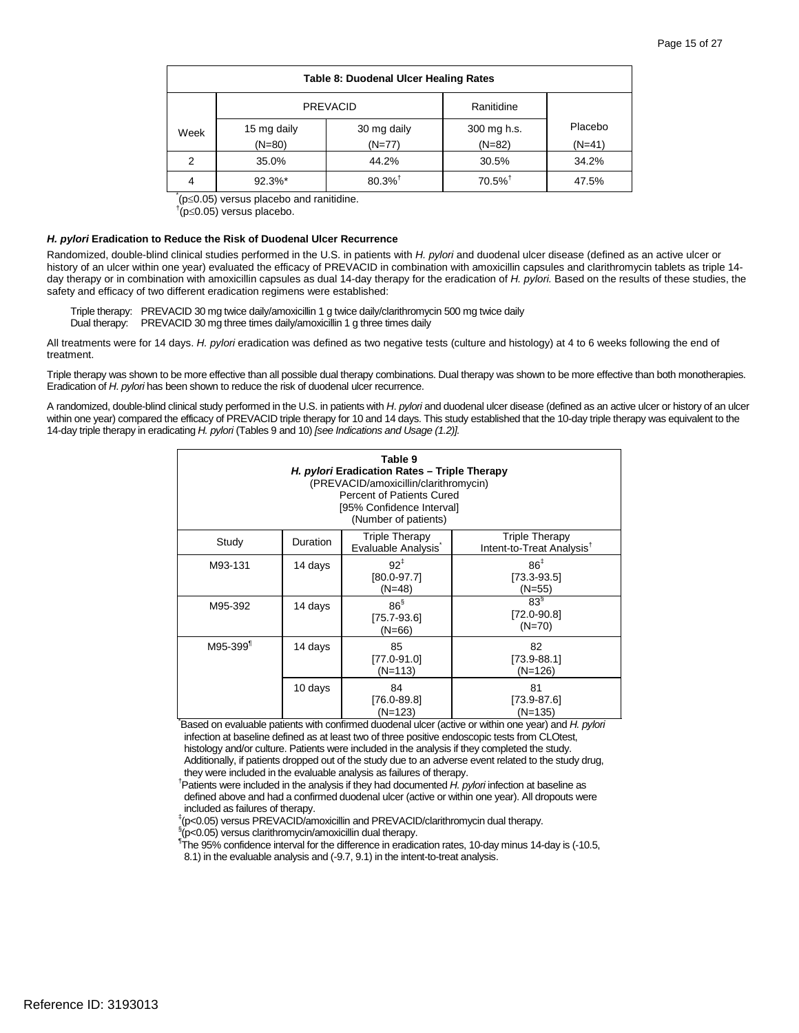| <b>Table 8: Duodenal Ulcer Healing Rates</b> |                               |                       |                         |                     |  |
|----------------------------------------------|-------------------------------|-----------------------|-------------------------|---------------------|--|
|                                              | <b>PREVACID</b><br>Ranitidine |                       |                         |                     |  |
| Week                                         | 15 mg daily<br>$(N=80)$       | 30 mg daily<br>(N=77) | 300 mg h.s.<br>$(N=82)$ | Placebo<br>$(N=41)$ |  |
| 2                                            | 35.0%                         | 44.2%                 | 30.5%                   | 34.2%               |  |
| 4                                            | $92.3%$ *                     | $80.3\%$ <sup>†</sup> | $70.5\%$ <sup>†</sup>   | 47.5%               |  |

\* (p<sup>≤</sup>0.05) versus placebo and ranitidine. †

<sup>†</sup>(p≤0.05) versus placebo.

#### *H. pylori* **Eradication to Reduce the Risk of Duodenal Ulcer Recurrence**

Randomized, double-blind clinical studies performed in the U.S. in patients with *H. pylori* and duodenal ulcer disease (defined as an active ulcer or history of an ulcer within one year) evaluated the efficacy of PREVACID in combination with amoxicillin capsules and clarithromycin tablets as triple 14day therapy or in combination with amoxicillin capsules as dual 14-day therapy for the eradication of *H. pylori.* Based on the results of these studies, the safety and efficacy of two different eradication regimens were established:

Triple therapy: PREVACID 30 mg twice daily/amoxicillin 1 g twice daily/clarithromycin 500 mg twice daily

Dual therapy: PREVACID 30 mg three times daily/amoxicillin 1 g three times daily

All treatments were for 14 days. *H. pylori* eradication was defined as two negative tests (culture and histology) at 4 to 6 weeks following the end of treatment.

 Eradication of *H*. *pylori* has been shown to reduce the risk of duodenal ulcer recurrence. Triple therapy was shown to be more effective than all possible dual therapy combinations. Dual therapy was shown to be more effective than both monotherapies.

 A randomized, double-blind clinical study performed in the U.S. in patients with *H*. *pylori* and duodenal ulcer disease (defined as an active ulcer or history of an ulcer within one year) compared the efficacy of PREVACID triple therapy for 10 and 14 days. This study established that the 10-day triple therapy was equivalent to the 14-day triple therapy in eradicating *H. pylori* (Tables 9 and 10) *[see Indications and Usage (1.2)].* 

| Table 9<br>H. pylori Eradication Rates - Triple Therapy<br>(PREVACID/amoxicillin/clarithromycin)<br><b>Percent of Patients Cured</b><br>[95% Confidence Interval]<br>(Number of patients) |                 |                                                |                                                                                                                                           |  |  |
|-------------------------------------------------------------------------------------------------------------------------------------------------------------------------------------------|-----------------|------------------------------------------------|-------------------------------------------------------------------------------------------------------------------------------------------|--|--|
| Study                                                                                                                                                                                     | <b>Duration</b> | <b>Triple Therapy</b><br>Evaluable Analysis    | <b>Triple Therapy</b><br>Intent-to-Treat Analysis <sup>T</sup>                                                                            |  |  |
| M93-131                                                                                                                                                                                   | 14 days         | $92^{\ddagger}$<br>$[80.0 - 97.7]$<br>$(N=48)$ | 86 <sup>‡</sup><br>$[73.3 - 93.5]$<br>(N=55)                                                                                              |  |  |
| M95-392                                                                                                                                                                                   | 14 days         | $86^{\S}$<br>$[75.7 - 93.6]$<br>$(N=66)$       | 83 <sup>§</sup><br>$[72.0 - 90.8]$<br>$(N=70)$                                                                                            |  |  |
| M95-399 <sup>1</sup>                                                                                                                                                                      | 14 days         | 85<br>[77.0-91.0]<br>(N=113)                   | 82<br>$[73.9 - 88.1]$<br>$(N=126)$                                                                                                        |  |  |
|                                                                                                                                                                                           | 10 days         | 84<br>[76.0-89.8]<br>(N=123)                   | 81<br>$[73.9 - 87.6]$<br>$(N=135)$<br>Based on evaluable patients with confirmed duodenal ulcer (active or within one year) and H. pylori |  |  |

 histology and/or culture. Patients were included in the analysis if they completed the study. infection at baseline defined as at least two of three positive endoscopic tests from CLOtest, Additionally, if patients dropped out of the study due to an adverse event related to the study drug,

they were included in the evaluable analysis as failures of therapy. † Patients were included in the analysis if they had documented *H. pylori* infection at baseline as defined above and had a confirmed duodenal ulcer (active or within one year). All dropouts were included as failures of therapy.<br> ${}^{4}$ (p <0.05) versue BBEVACID/sm

(p<0.05) versus PREVACID/amoxicillin and PREVACID/clarithromycin dual therapy.

§ip<0.05) versus clarithromycin/amoxicillin dual therapy.<br>¶The 95% confidence intensel for the difference in eredic

 The 95% confidence interval for the difference in eradication rates, 10-day minus 14-day is (-10.5, 8.1) in the evaluable analysis and (-9.7, 9.1) in the intent-to-treat analysis.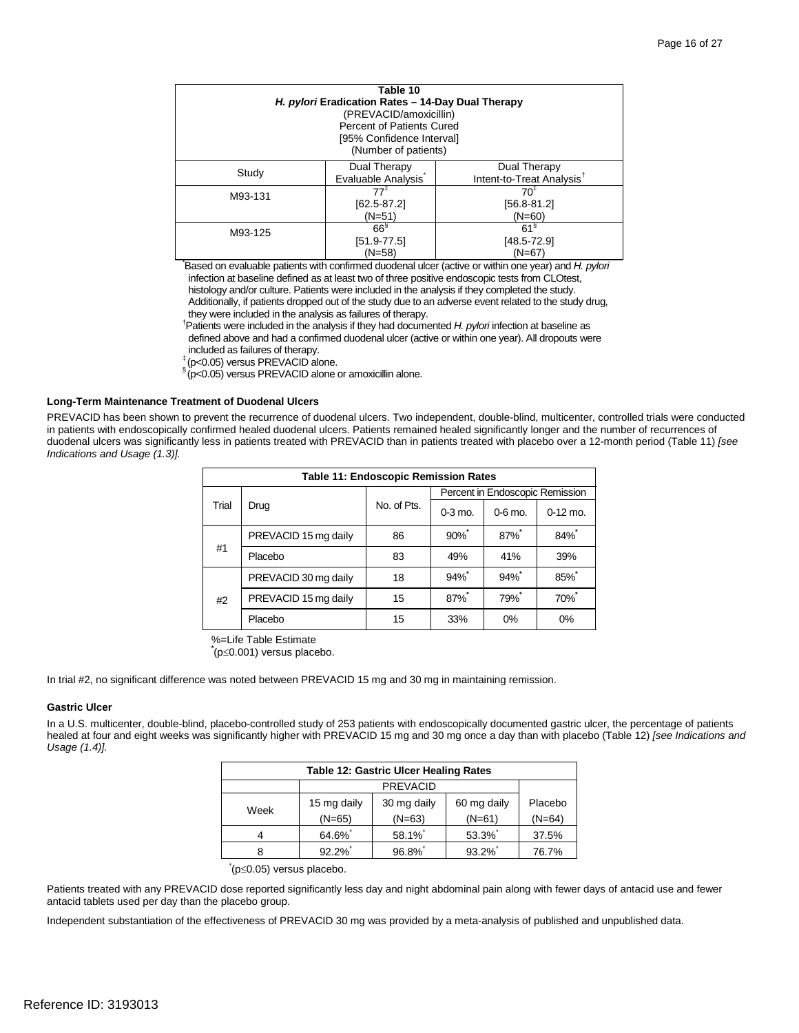| Table 10                                                                                            |                                  |                                       |  |
|-----------------------------------------------------------------------------------------------------|----------------------------------|---------------------------------------|--|
| H. pylori Eradication Rates - 14-Day Dual Therapy                                                   |                                  |                                       |  |
|                                                                                                     | (PREVACID/amoxicillin)           |                                       |  |
|                                                                                                     | <b>Percent of Patients Cured</b> |                                       |  |
|                                                                                                     | [95% Confidence Interval]        |                                       |  |
|                                                                                                     | (Number of patients)             |                                       |  |
|                                                                                                     |                                  |                                       |  |
| Study                                                                                               | Dual Therapy                     | Dual Therapy                          |  |
|                                                                                                     | Evaluable Analysis               | Intent-to-Treat Analysis <sup>t</sup> |  |
| M93-131                                                                                             | $77^{\ddagger}$                  | $70^{\ddagger}$                       |  |
|                                                                                                     | $[62.5 - 87.2]$                  | $[56.8 - 81.2]$                       |  |
|                                                                                                     | $(N=51)$                         | $(N=60)$                              |  |
| M93-125                                                                                             | $66^{\circ}$                     | 61 <sup>8</sup>                       |  |
|                                                                                                     | $[51.9-77.5]$                    | $[48.5 - 72.9]$                       |  |
| $(N=58)$<br>(N=67)                                                                                  |                                  |                                       |  |
| Based on evaluable patients with confirmed duodenal ulcer (active or within one year) and H. pylori |                                  |                                       |  |

 histology and/or culture. Patients were included in the analysis if they completed the study. infection at baseline defined as at least two of three positive endoscopic tests from CLOtest,

Additionally, if patients dropped out of the study due to an adverse event related to the study drug, they were included in the analysis as failures of therapy.

† Patients were included in the analysis if they had documented *H. pylori* infection at baseline as defined above and had a confirmed duodenal ulcer (active or within one year). All dropouts were

included as failures of therapy.

<sup>‡</sup> (p<0.05) versus PREVACID alone.<br><sup>§</sup> (p <0.05) versus PREVACID alone.

 $\sin(\theta)$  versus PREVACID alone or amoxicillin alone.

#### **Long-Term Maintenance Treatment of Duodenal Ulcers**

 PREVACID has been shown to prevent the recurrence of duodenal ulcers. Two independent, double-blind, multicenter, controlled trials were conducted in patients with endoscopically confirmed healed duodenal ulcers. Patients remained healed significantly longer and the number of recurrences of duodenal ulcers was significantly less in patients treated with PREVACID than in patients treated with placebo over a 12-month period (Table 11) *[see Indications and Usage (1.3)].* 

| <b>Table 11: Endoscopic Remission Rates</b> |                      |             |           |                                 |            |
|---------------------------------------------|----------------------|-------------|-----------|---------------------------------|------------|
|                                             |                      |             |           | Percent in Endoscopic Remission |            |
| Trial                                       | Drug                 | No. of Pts. | $0-3$ mo. | $0-6$ mo.                       | $0-12$ mo. |
|                                             | PREVACID 15 mg daily | 86          | $90\%$    | 87%                             | 84%        |
| #1                                          | Placebo              | 83          | 49%       | 41%                             | 39%        |
|                                             | PREVACID 30 mg daily | 18          | 94%       | 94%                             | $85\%$     |
| #2                                          | PREVACID 15 mg daily | 15          | 87%*      | 79%*                            | 70%*       |
|                                             | Placebo              | 15          | 33%       | 0%                              | 0%         |

 %=Life Table Estimate

**\*** (p≤0.001) versus placebo.

In trial #2, no significant difference was noted between PREVACID 15 mg and 30 mg in maintaining remission.

#### **Gastric Ulcer**

 In a U.S. multicenter, double-blind, placebo-controlled study of 253 patients with endoscopically documented gastric ulcer, the percentage of patients healed at four and eight weeks was significantly higher with PREVACID 15 mg and 30 mg once a day than with placebo (Table 12) *[see Indications and Usage (1.4)].* 

| <b>Table 12: Gastric Ulcer Healing Rates</b> |                         |                         |                         |                     |
|----------------------------------------------|-------------------------|-------------------------|-------------------------|---------------------|
|                                              |                         | <b>PREVACID</b>         |                         |                     |
| Week                                         | 15 mg daily<br>$(N=65)$ | 30 mg daily<br>$(N=63)$ | 60 mg daily<br>$(N=61)$ | Placebo<br>$(N=64)$ |
| 4                                            | 64.6%                   | 58.1%                   | 53.3%                   | 37.5%               |
| 8                                            | 92.2%                   | 96.8%                   | 93.2%                   | 76.7%               |

#### \* (p≤0.05) versus placebo.

Patients treated with any PREVACID dose reported significantly less day and night abdominal pain along with fewer days of antacid use and fewer antacid tablets used per day than the placebo group.

Independent substantiation of the effectiveness of PREVACID 30 mg was provided by a meta-analysis of published and unpublished data.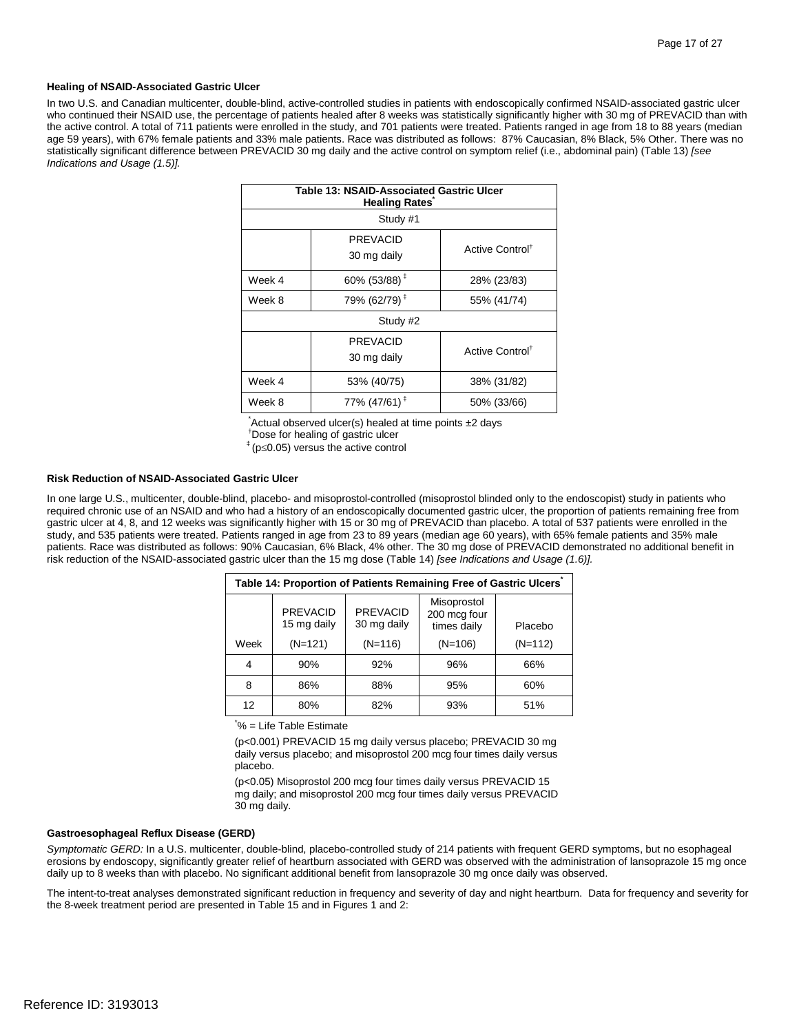#### **Healing of NSAID-Associated Gastric Ulcer**

 age 59 years), with 67% female patients and 33% male patients. Race was distributed as follows: 87% Caucasian, 8% Black, 5% Other. There was no statistically significant difference between PREVACID 30 mg daily and the active control on symptom relief (i.e., abdominal pain) (Table 13) *[see*  In two U.S. and Canadian multicenter, double-blind, active-controlled studies in patients with endoscopically confirmed NSAID-associated gastric ulcer who continued their NSAID use, the percentage of patients healed after 8 weeks was statistically significantly higher with 30 mg of PREVACID than with the active control. A total of 711 patients were enrolled in the study, and 701 patients were treated. Patients ranged in age from 18 to 88 years (median *Indications and Usage (1.5)].* 

| <b>Table 13: NSAID-Associated Gastric Ulcer</b><br><b>Healing Rates</b> |                                       |                             |  |  |
|-------------------------------------------------------------------------|---------------------------------------|-----------------------------|--|--|
|                                                                         | Study #1                              |                             |  |  |
|                                                                         | <b>PREVACID</b><br>30 mg daily        | Active Control <sup>®</sup> |  |  |
| Week 4                                                                  | 60% (53/88) <sup><math>‡</math></sup> | 28% (23/83)                 |  |  |
| Week 8                                                                  | 79% (62/79) <sup>‡</sup>              | 55% (41/74)                 |  |  |
|                                                                         | Study #2                              |                             |  |  |
|                                                                         | <b>PREVACID</b><br>30 mg daily        | Active Control <sup>†</sup> |  |  |
| Week 4                                                                  | 53% (40/75)                           | 38% (31/82)                 |  |  |
| Week 8                                                                  | 77% (47/61) <sup>‡</sup>              | 50% (33/66)                 |  |  |

\* Actual observed ulcer(s) healed at time points ±2 days † Dose for healing of gastric ulcer

 $*$  (p $\leq$ 0.05) versus the active control

#### **Risk Reduction of NSAID-Associated Gastric Ulcer**

 risk reduction of the NSAID-associated gastric ulcer than the 15 mg dose (Table 14) *[see Indications and Usage (1.6)].*  In one large U.S., multicenter, double-blind, placebo- and misoprostol-controlled (misoprostol blinded only to the endoscopist) study in patients who required chronic use of an NSAID and who had a history of an endoscopically documented gastric ulcer, the proportion of patients remaining free from gastric ulcer at 4, 8, and 12 weeks was significantly higher with 15 or 30 mg of PREVACID than placebo. A total of 537 patients were enrolled in the study, and 535 patients were treated. Patients ranged in age from 23 to 89 years (median age 60 years), with 65% female patients and 35% male patients. Race was distributed as follows: 90% Caucasian, 6% Black, 4% other. The 30 mg dose of PREVACID demonstrated no additional benefit in

| Table 14: Proportion of Patients Remaining Free of Gastric Ulcers |                                |                                |                                            |           |
|-------------------------------------------------------------------|--------------------------------|--------------------------------|--------------------------------------------|-----------|
|                                                                   | <b>PREVACID</b><br>15 mg daily | <b>PREVACID</b><br>30 mg daily | Misoprostol<br>200 mcg four<br>times daily | Placebo   |
| Week                                                              | $(N=121)$                      | $(N=116)$                      | $(N=106)$                                  | $(N=112)$ |
|                                                                   | 90%                            | 92%                            | 96%                                        | 66%       |
| 8                                                                 | 86%                            | 88%                            | 95%                                        | 60%       |
| 12                                                                | 80%                            | 82%                            | 93%                                        | 51%       |

\* % = Life Table Estimate

 daily versus placebo; and misoprostol 200 mcg four times daily versus (p<0.001) PREVACID 15 mg daily versus placebo; PREVACID 30 mg placebo.

 (p<0.05) Misoprostol 200 mcg four times daily versus PREVACID 15 mg daily; and misoprostol 200 mcg four times daily versus PREVACID 30 mg daily.

#### **Gastroesophageal Reflux Disease (GERD)**

*Symptomatic GERD:* In a U.S. multicenter, double-blind, placebo-controlled study of 214 patients with frequent GERD symptoms, but no esophageal erosions by endoscopy, significantly greater relief of heartburn associated with GERD was observed with the administration of lansoprazole 15 mg once daily up to 8 weeks than with placebo. No significant additional benefit from lansoprazole 30 mg once daily was observed.

 The intent-to-treat analyses demonstrated significant reduction in frequency and severity of day and night heartburn. Data for frequency and severity for the 8-week treatment period are presented in Table 15 and in Figures 1 and 2: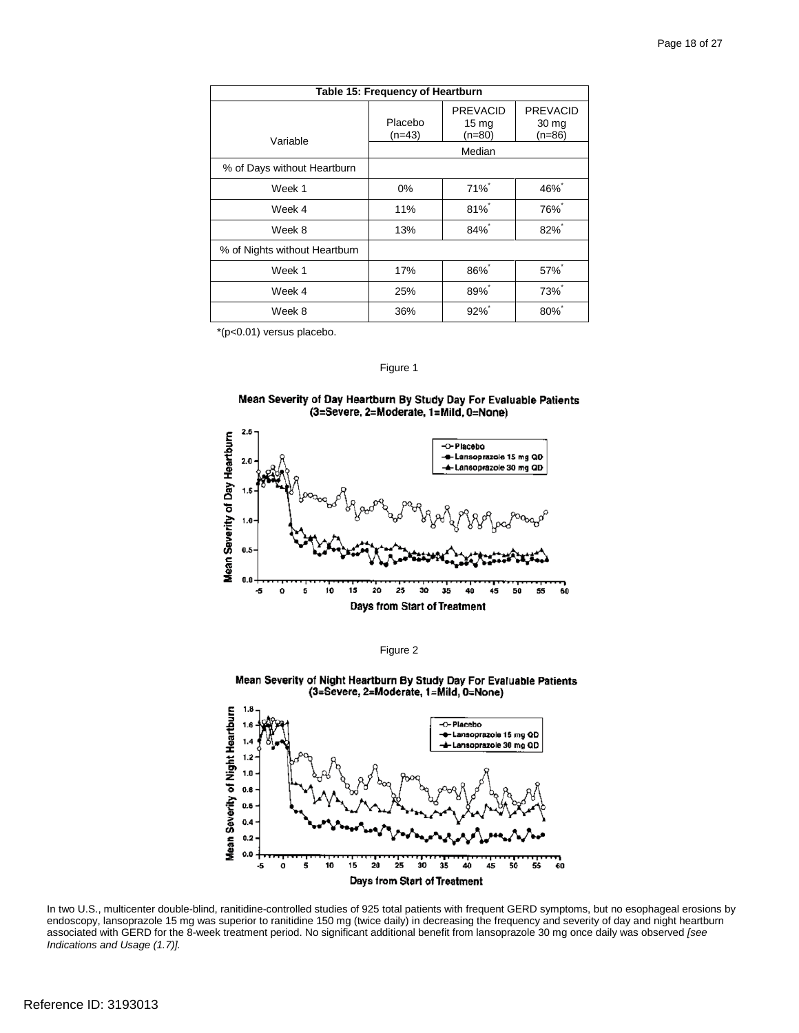| Table 15: Frequency of Heartburn |                     |                                                 |                                                 |
|----------------------------------|---------------------|-------------------------------------------------|-------------------------------------------------|
| Variable                         | Placebo<br>$(n=43)$ | <b>PREVACID</b><br>15 <sub>mg</sub><br>$(n=80)$ | <b>PREVACID</b><br>30 <sub>mg</sub><br>$(n=86)$ |
|                                  |                     | Median                                          |                                                 |
| % of Days without Heartburn      |                     |                                                 |                                                 |
| Week 1                           | $0\%$               | 71%*                                            | $46\%$                                          |
| Week 4                           | 11%                 | $81\%$                                          | <b>76%</b> *                                    |
| Week 8                           | 13%                 | $84\%$                                          | $82\%$                                          |
| % of Nights without Heartburn    |                     |                                                 |                                                 |
| Week 1                           | 17%                 | 86%                                             | 57%*                                            |
| Week 4                           | 25%                 | 89%                                             | 73%                                             |
| Week 8                           | 36%                 | $92\%$                                          | $80\%$                                          |

\*(p<0.01) versus placebo.

#### Figure 1

#### Mean Severity of Day Heartburn By Study Day For Evaluable Patients (3=Severe, 2=Moderate, 1=Mild, 0=None)



Figure 2

Mean Severity of Night Heartburn By Study Day For Evaluable Patients<br>(3=Severe, 2=Moderate, 1=Mild, 0=None)



 In two U.S., multicenter double-blind, ranitidine-controlled studies of 925 total patients with frequent GERD symptoms, but no esophageal erosions by endoscopy, lansoprazole 15 mg was superior to ranitidine 150 mg (twice daily) in decreasing the frequency and severity of day and night heartburn associated with GERD for the 8-week treatment period. No significant additional benefit from lansoprazole 30 mg once daily was observed *[see Indications and Usage (1.7)].*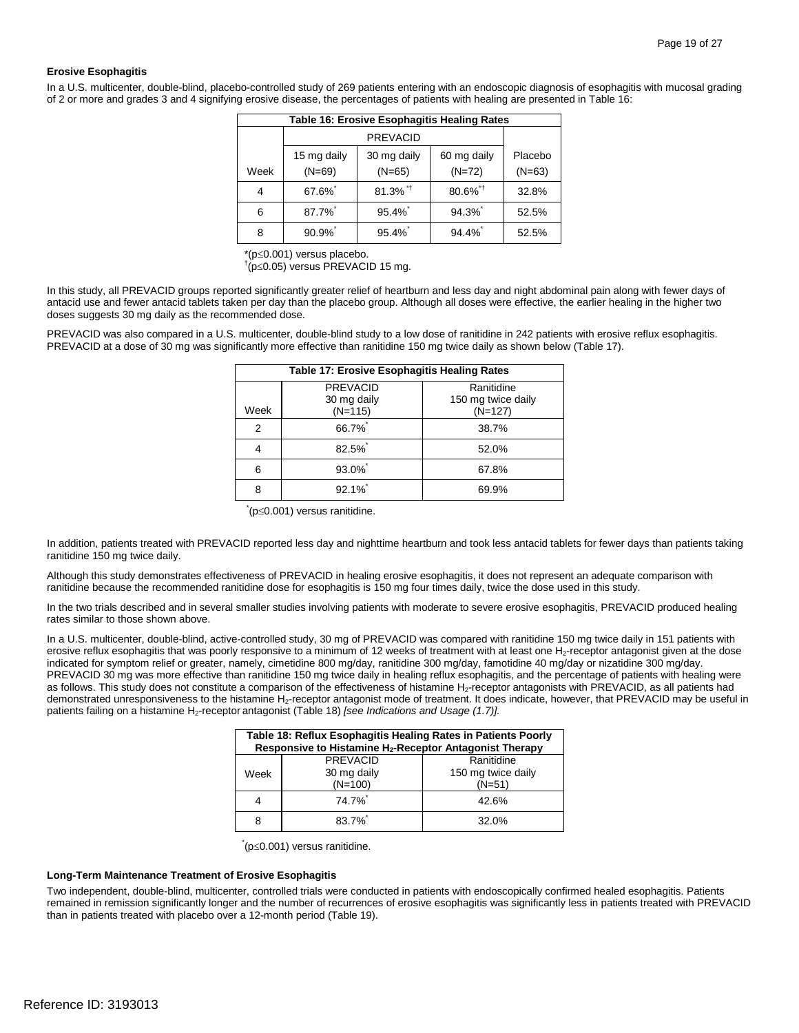#### **Erosive Esophagitis**

In a U.S. multicenter, double-blind, placebo-controlled study of 269 patients entering with an endoscopic diagnosis of esophagitis with mucosal grading of 2 or more and grades 3 and 4 signifying erosive disease, the percentages of patients with healing are presented in Table 16:

| Table 16: Erosive Esophagitis Healing Rates |                 |                            |                        |          |
|---------------------------------------------|-----------------|----------------------------|------------------------|----------|
|                                             | <b>PREVACID</b> |                            |                        |          |
|                                             | 15 mg daily     | 30 mg daily<br>60 mg daily |                        | Placebo  |
| Week                                        | $(N=69)$        | $(N=65)$                   | $(N=72)$               | $(N=63)$ |
| 4                                           | 67.6%           | $81.3\%$ <sup>*†</sup>     | $80.6\%$ <sup>*†</sup> | 32.8%    |
| 6                                           | 87.7%           | 95.4%                      | 94.3%                  | 52.5%    |
| 8                                           | $90.9\%$        | $95.4\%$                   | 94.4%                  | 52.5%    |

\*(p<sup>≤</sup>0.001) versus placebo. †

 $\phi$ <sup>+</sup>(p≤0.05) versus PREVACID 15 mg.

 In this study, all PREVACID groups reported significantly greater relief of heartburn and less day and night abdominal pain along with fewer days of antacid use and fewer antacid tablets taken per day than the placebo group. Although all doses were effective, the earlier healing in the higher two doses suggests 30 mg daily as the recommended dose.

 PREVACID at a dose of 30 mg was significantly more effective than ranitidine 150 mg twice daily as shown below (Table 17). PREVACID was also compared in a U.S. multicenter, double-blind study to a low dose of ranitidine in 242 patients with erosive reflux esophagitis.

|      | <b>Table 17: Erosive Esophagitis Healing Rates</b> |                                               |  |
|------|----------------------------------------------------|-----------------------------------------------|--|
| Week | <b>PREVACID</b><br>30 mg daily<br>$(N=115)$        | Ranitidine<br>150 mg twice daily<br>$(N=127)$ |  |
| 2    | 66.7%                                              | 38.7%                                         |  |
| 4    | 82.5%                                              | 52.0%                                         |  |
| 6    | 93.0%                                              | 67.8%                                         |  |
| 8    | 92.1%                                              | 69.9%                                         |  |

\* (p≤0.001) versus ranitidine.

 In addition, patients treated with PREVACID reported less day and nighttime heartburn and took less antacid tablets for fewer days than patients taking ranitidine 150 mg twice daily.

 Although this study demonstrates effectiveness of PREVACID in healing erosive esophagitis, it does not represent an adequate comparison with ranitidine because the recommended ranitidine dose for esophagitis is 150 mg four times daily, twice the dose used in this study.

In the two trials described and in several smaller studies involving patients with moderate to severe erosive esophagitis, PREVACID produced healing rates similar to those shown above.

erosive reflux esophagitis that was poorly responsive to a minimum of 12 weeks of treatment with at least one H<sub>2</sub>-receptor antagonist given at the dose indicated for symptom relief or greater, namely, cimetidine 800 mg/day, ranitidine 300 mg/day, famotidine 40 mg/day or nizatidine 300 mg/day. demonstrated unresponsiveness to the histamine H<sub>2</sub>-receptor antagonist mode of treatment. It does indicate, however, that PREVACID may be useful in In a U.S. multicenter, double-blind, active-controlled study, 30 mg of PREVACID was compared with ranitidine 150 mg twice daily in 151 patients with PREVACID 30 mg was more effective than ranitidine 150 mg twice daily in healing reflux esophagitis, and the percentage of patients with healing were as follows. This study does not constitute a comparison of the effectiveness of histamine H<sub>2</sub>-receptor antagonists with PREVACID, as all patients had patients failing on a histamine H<sub>2</sub>-receptor antagonist (Table 18) *[see Indications and Usage (1.7)]*.

| Table 18: Reflux Esophagitis Healing Rates in Patients Poorly<br>Responsive to Histamine H <sub>2</sub> -Receptor Antagonist Therapy |                    |                    |
|--------------------------------------------------------------------------------------------------------------------------------------|--------------------|--------------------|
|                                                                                                                                      | <b>PREVACID</b>    | Ranitidine         |
| Week                                                                                                                                 | 30 mg daily        | 150 mg twice daily |
|                                                                                                                                      | $(N=100)$          | $(N=51)$           |
|                                                                                                                                      | 74.7% <sup>*</sup> | 42.6%              |
| 8                                                                                                                                    | $83.7\%$           | 32.0%              |

\* (p≤0.001) versus ranitidine.

#### **Long-Term Maintenance Treatment of Erosive Esophagitis**

 remained in remission significantly longer and the number of recurrences of erosive esophagitis was significantly less in patients treated with PREVACID than in patients treated with placebo over a 12-month period (Table 19). Two independent, double-blind, multicenter, controlled trials were conducted in patients with endoscopically confirmed healed esophagitis. Patients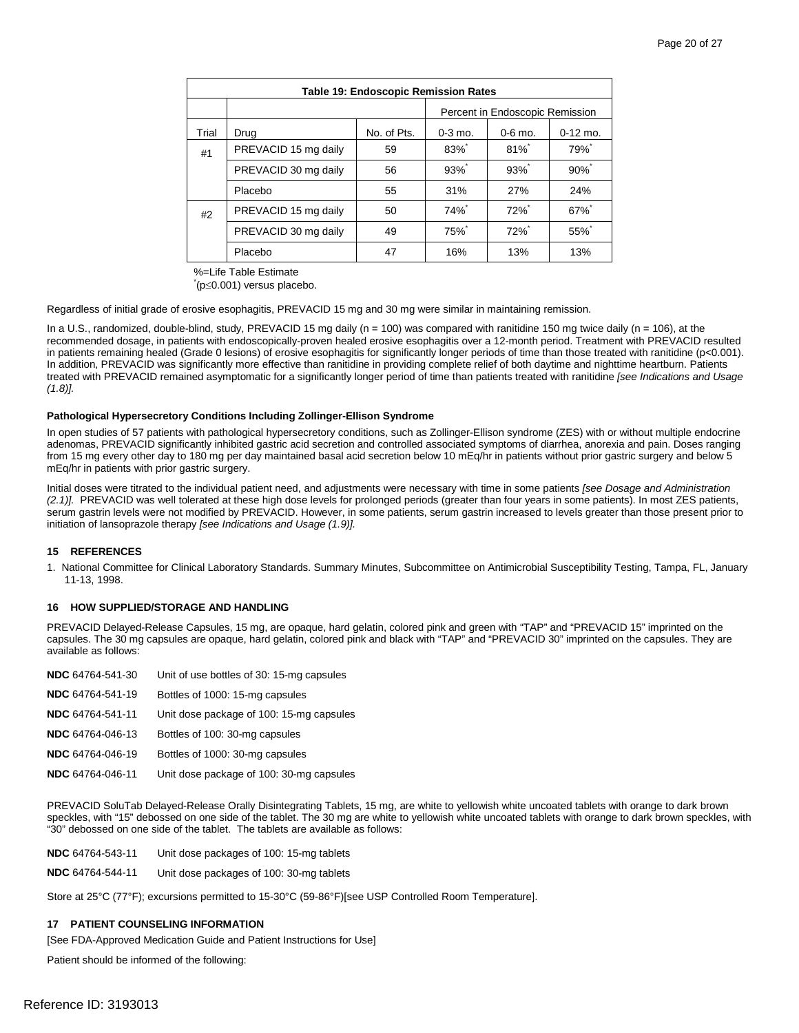| <b>Table 19: Endoscopic Remission Rates</b> |                      |             |                    |                                 |            |
|---------------------------------------------|----------------------|-------------|--------------------|---------------------------------|------------|
|                                             |                      |             |                    | Percent in Endoscopic Remission |            |
| Trial                                       | Drug                 | No. of Pts. | $0-3$ mo.          | $0-6$ mo.                       | $0-12$ mo. |
| #1                                          | PREVACID 15 mg daily | 59          | $83\%$             | $81\%$ <sup>*</sup>             | 79%*       |
|                                             | PREVACID 30 mg daily | 56          | $93%$ <sup>*</sup> | $93%$ <sup>*</sup>              | $90\%$     |
|                                             | Placebo              | 55          | 31%                | 27%                             | 24%        |
| #2                                          | PREVACID 15 mg daily | 50          | 74%                | 72%                             | 67%        |
|                                             | PREVACID 30 mg daily | 49          | 75%                | $72\%$                          | 55%        |
|                                             | Placebo              | 47          | 16%                | 13%                             | 13%        |

%=Life Table Estimate \*

(p≤0.001) versus placebo.

Regardless of initial grade of erosive esophagitis, PREVACID 15 mg and 30 mg were similar in maintaining remission.

 In a U.S., randomized, double-blind, study, PREVACID 15 mg daily (n = 100) was compared with ranitidine 150 mg twice daily (n = 106), at the in patients remaining healed (Grade 0 lesions) of erosive esophagitis for significantly longer periods of time than those treated with ranitidine (p<0.001). treated with PREVACID remained asymptomatic for a significantly longer period of time than patients treated with ranitidine *[see Indications and Usage*  recommended dosage, in patients with endoscopically-proven healed erosive esophagitis over a 12-month period. Treatment with PREVACID resulted In addition, PREVACID was significantly more effective than ranitidine in providing complete relief of both daytime and nighttime heartburn. Patients *(1.8)].* 

#### **Pathological Hypersecretory Conditions Including Zollinger-Ellison Syndrome**

 In open studies of 57 patients with pathological hypersecretory conditions, such as Zollinger-Ellison syndrome (ZES) with or without multiple endocrine from 15 mg every other day to 180 mg per day maintained basal acid secretion below 10 mEq/hr in patients without prior gastric surgery and below 5 mEq/hr in patients with prior gastric surgery. adenomas, PREVACID significantly inhibited gastric acid secretion and controlled associated symptoms of diarrhea, anorexia and pain. Doses ranging

(2.1)]. PREVACID was well tolerated at these high dose levels for prolonged periods (greater than four years in some patients). In most ZES patients, serum gastrin levels were not modified by PREVACID. However, in some patients, serum gastrin increased to levels greater than those present prior to Initial doses were titrated to the individual patient need, and adjustments were necessary with time in some patients *[see Dosage and Administration*  initiation of lansoprazole therapy *[see Indications and Usage (1.9)].* 

#### **15 REFERENCES**

 1. National Committee for Clinical Laboratory Standards. Summary Minutes, Subcommittee on Antimicrobial Susceptibility Testing, Tampa, FL, January 11-13, 1998.

#### **16 HOW SUPPLIED/STORAGE AND HANDLING**

 PREVACID Delayed-Release Capsules, 15 mg, are opaque, hard gelatin, colored pink and green with "TAP" and "PREVACID 15" imprinted on the capsules. The 30 mg capsules are opaque, hard gelatin, colored pink and black with "TAP" and "PREVACID 30" imprinted on the capsules. They are available as follows:

| NDC 64764-541-30 | Unit of use bottles of 30: 15-mg capsules |
|------------------|-------------------------------------------|
| NDC 64764-541-19 | Bottles of 1000: 15-mg capsules           |
| NDC 64764-541-11 | Unit dose package of 100: 15-mg capsules  |
| NDC 64764-046-13 | Bottles of 100: 30-mg capsules            |
| NDC 64764-046-19 | Bottles of 1000: 30-mg capsules           |
| NDC 64764-046-11 | Unit dose package of 100: 30-mg capsules  |

 "30" debossed on one side of the tablet. The tablets are available as follows: PREVACID SoluTab Delayed-Release Orally Disintegrating Tablets, 15 mg, are white to yellowish white uncoated tablets with orange to dark brown speckles, with "15" debossed on one side of the tablet. The 30 mg are white to yellowish white uncoated tablets with orange to dark brown speckles, with

**NDC** 64764-543-11 Unit dose packages of 100: 15-mg tablets

**NDC** 64764-544-11 Unit dose packages of 100: 30-mg tablets

Store at 25°C (77°F); excursions permitted to 15-30°C (59-86°F)[see USP Controlled Room Temperature].

#### **17 PATIENT COUNSELING INFORMATION**

[See FDA-Approved Medication Guide and Patient Instructions for Use]

Patient should be informed of the following: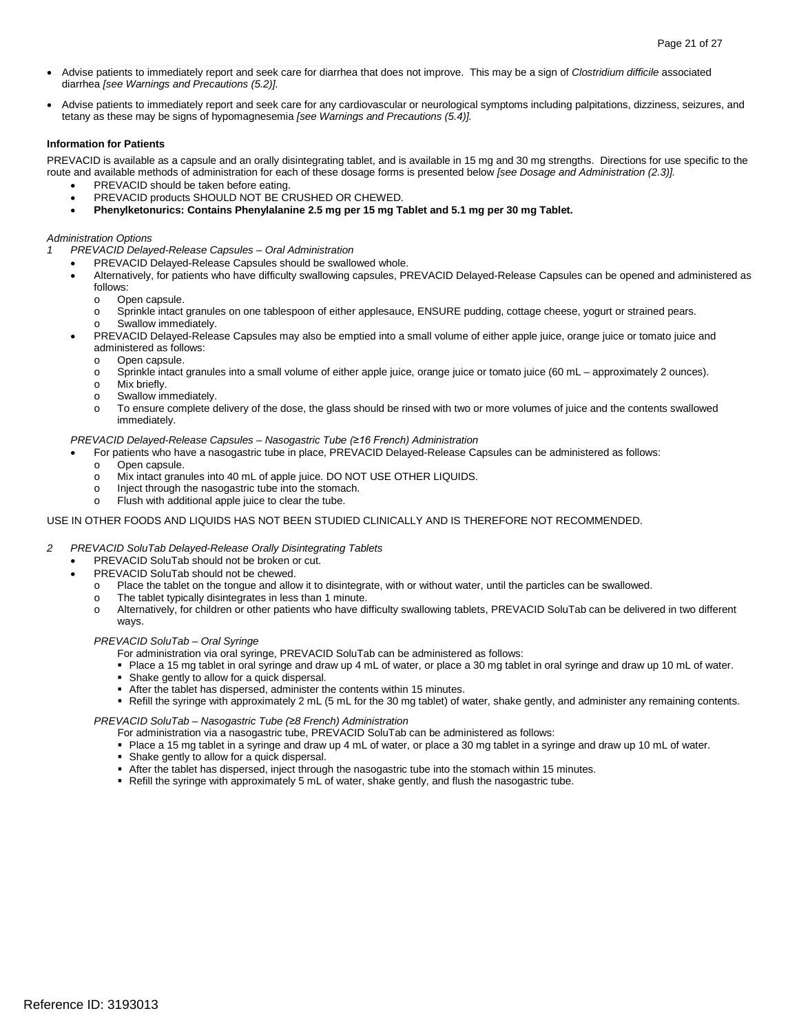- • Advise patients to immediately report and seek care for diarrhea that does not improve. This may be a sign of *Clostridium difficile* associated diarrhea *[see Warnings and Precautions (5.2)].*
- $\bullet$ Advise patients to immediately report and seek care for any cardiovascular or neurological symptoms including palpitations, dizziness, seizures, and tetany as these may be signs of hypomagnesemia *[see Warnings and Precautions (5.4)].*

#### **Information for Patients**

 PREVACID is available as a capsule and an orally disintegrating tablet, and is available in 15 mg and 30 mg strengths. Directions for use specific to the route and available methods of administration for each of these dosage forms is presented below *[see Dosage and Administration (2.3)].* 

- PREVACID should be taken before eating.
- • PREVACID products SHOULD NOT BE CRUSHED OR CHEWED.
- • **Phenylketonurics: Contains Phenylalanine 2.5 mg per 15 mg Tablet and 5.1 mg per 30 mg Tablet.**

#### *Administration Options*

- *1 PREVACID Delayed-Release Capsules Oral Administration* 
	- PREVACID Delayed-Release Capsules should be swallowed whole.
	- Alternatively, for patients who have difficulty swallowing capsules, PREVACID Delayed-Release Capsules can be opened and administered as follows:
		- o Open capsule.<br>
		o Sprinkle intact
		- o Sprinkle intact granules on one tablespoon of either applesauce, ENSURE pudding, cottage cheese, yogurt or strained pears. o Swallow immediately.
	- • PREVACID Delayed-Release Capsules may also be emptied into a small volume of either apple juice, orange juice or tomato juice and administered as follows:
		- o Open capsule.
		- o Sprinkle intact granules into a small volume of either apple juice, orange juice or tomato juice (60 mL approximately 2 ounces).<br>O Mix briefly.
		- Mix briefly.
		- o Swallow immediately.<br>
		o To ensure complete d
		- o To ensure complete delivery of the dose, the glass should be rinsed with two or more volumes of juice and the contents swallowed immediately.

#### *PREVACID Delayed-Release Capsules – Nasogastric Tube (≥16 French) Administration*

- For patients who have a nasogastric tube in place, PREVACID Delayed-Release Capsules can be administered as follows:
- o Open capsule.<br>o Mix intact gran
- o Mix intact granules into 40 mL of apple juice. DO NOT USE OTHER LIQUIDS.<br>
o lniect through the nasogastric tube into the stomach.
- o lnject through the nasogastric tube into the stomach.
- $\circ$  Flush with additional apple juice to clear the tube.

#### USE IN OTHER FOODS AND LIQUIDS HAS NOT BEEN STUDIED CLINICALLY AND IS THEREFORE NOT RECOMMENDED.

#### *2 PREVACID SoluTab Delayed-Release Orally Disintegrating Tablets*

- PREVACID SoluTab should not be broken or cut.
- PREVACID SoluTab should not be chewed.
	- o Place the tablet on the tongue and allow it to disintegrate, with or without water, until the particles can be swallowed.
	- o The tablet typically disintegrates in less than 1 minute.
	- o Alternatively, for children or other patients who have difficulty swallowing tablets, PREVACID SoluTab can be delivered in two different ways.

#### *PREVACID SoluTab – Oral Syringe*

For administration via oral syringe, PREVACID SoluTab can be administered as follows:

- Place a 15 mg tablet in oral syringe and draw up 4 mL of water, or place a 30 mg tablet in oral syringe and draw up 10 mL of water.
- **Shake gently to allow for a quick dispersal.**
- After the tablet has dispersed, administer the contents within 15 minutes.
- Refill the syringe with approximately 2 mL (5 mL for the 30 mg tablet) of water, shake gently, and administer any remaining contents.

#### *PREVACID SoluTab – Nasogastric Tube (≥8 French) Administration*

For administration via a nasogastric tube, PREVACID SoluTab can be administered as follows:

- Place a 15 mg tablet in a syringe and draw up 4 mL of water, or place a 30 mg tablet in a syringe and draw up 10 mL of water.
- Shake gently to allow for a quick dispersal.
- After the tablet has dispersed, inject through the nasogastric tube into the stomach within 15 minutes.
- Refill the syringe with approximately 5 mL of water, shake gently, and flush the nasogastric tube.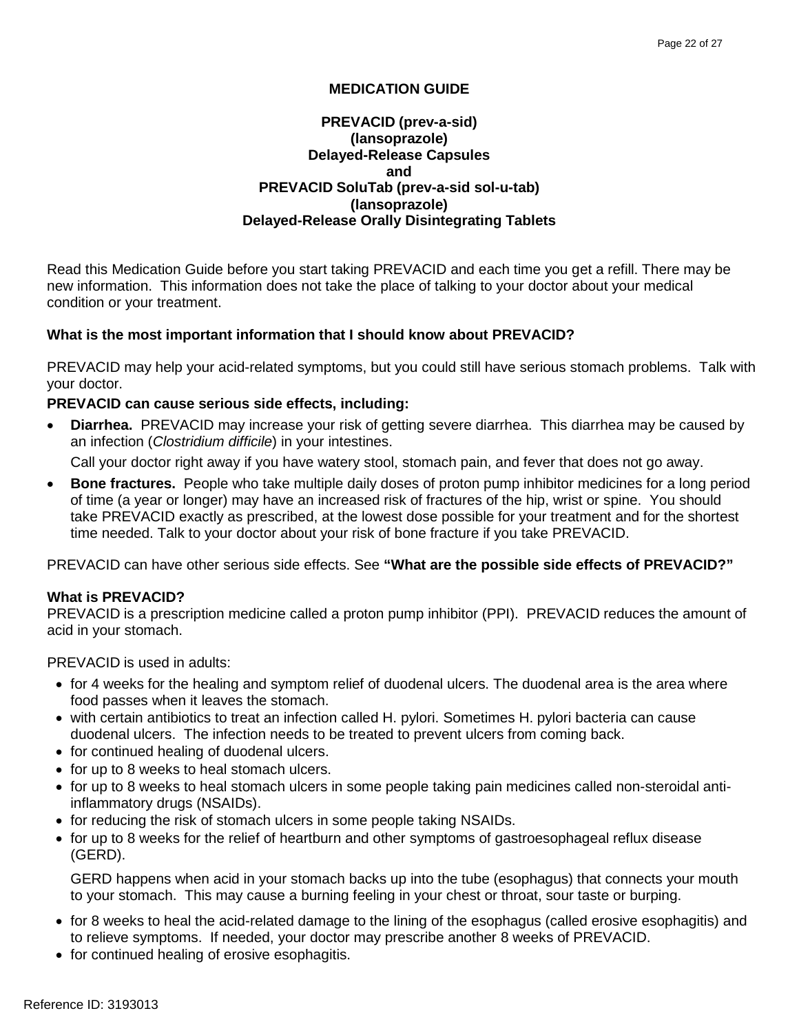## **MEDICATION GUIDE**

## **PREVACID SoluTab (prev-a-sid sol-u-tab) PREVACID (prev-a-sid) (lansoprazole) Delayed-Release Capsules and (lansoprazole) Delayed-Release Orally Disintegrating Tablets**

 new information. This information does not take the place of talking to your doctor about your medical Read this Medication Guide before you start taking PREVACID and each time you get a refill. There may be condition or your treatment.

## **What is the most important information that I should know about PREVACID?**

 PREVACID may help your acid-related symptoms, but you could still have serious stomach problems. Talk with your doctor.

## **PREVACID can cause serious side effects, including:**

 • **Diarrhea.** PREVACID may increase your risk of getting severe diarrhea. This diarrhea may be caused by an infection (*Clostridium difficile*) in your intestines.

Call your doctor right away if you have watery stool, stomach pain, and fever that does not go away.

 of time (a year or longer) may have an increased risk of fractures of the hip, wrist or spine. You should take PREVACID exactly as prescribed, at the lowest dose possible for your treatment and for the shortest • **Bone fractures.** People who take multiple daily doses of proton pump inhibitor medicines for a long period time needed. Talk to your doctor about your risk of bone fracture if you take PREVACID.

PREVACID can have other serious side effects. See **"What are the possible side effects of PREVACID?"** 

## **What is PREVACID?**

 PREVACID is a prescription medicine called a proton pump inhibitor (PPI). PREVACID reduces the amount of acid in your stomach.

PREVACID is used in adults:

- for 4 weeks for the healing and symptom relief of duodenal ulcers. The duodenal area is the area where food passes when it leaves the stomach.
- duodenal ulcers. The infection needs to be treated to prevent ulcers from coming back. • with certain antibiotics to treat an infection called H. pylori. Sometimes H. pylori bacteria can cause
- • for continued healing of duodenal ulcers.
- for up to 8 weeks to heal stomach ulcers.
- for up to 8 weeks to heal stomach ulcers in some people taking pain medicines called non-steroidal antiinflammatory drugs (NSAIDs).
- for reducing the risk of stomach ulcers in some people taking NSAIDs.
- for up to 8 weeks for the relief of heartburn and other symptoms of gastroesophageal reflux disease (GERD).

 GERD happens when acid in your stomach backs up into the tube (esophagus) that connects your mouth to your stomach. This may cause a burning feeling in your chest or throat, sour taste or burping.

- to relieve symptoms. If needed, your doctor may prescribe another 8 weeks of PREVACID. • for 8 weeks to heal the acid-related damage to the lining of the esophagus (called erosive esophagitis) and
- for continued healing of erosive esophagitis.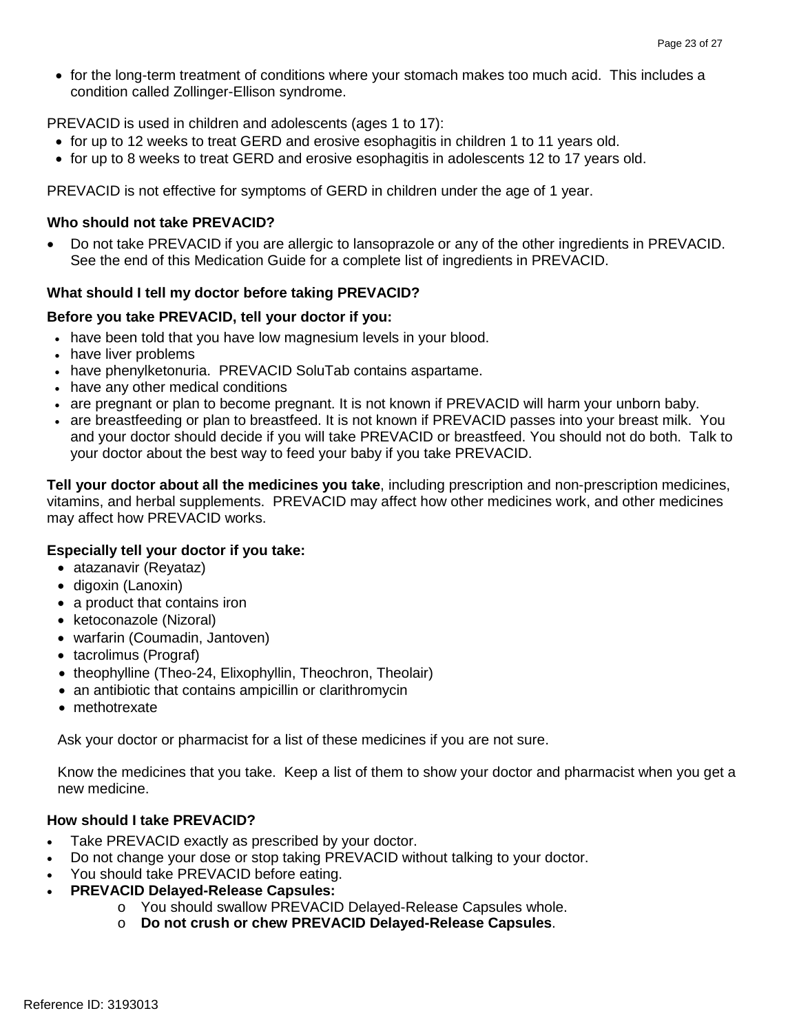• for the long-term treatment of conditions where your stomach makes too much acid. This includes a condition called Zollinger-Ellison syndrome.

PREVACID is used in children and adolescents (ages 1 to 17):

- for up to 12 weeks to treat GERD and erosive esophagitis in children 1 to 11 years old.
- for up to 8 weeks to treat GERD and erosive esophagitis in adolescents 12 to 17 years old.

PREVACID is not effective for symptoms of GERD in children under the age of 1 year.

## **Who should not take PREVACID?**

• Do not take PREVACID if you are allergic to lansoprazole or any of the other ingredients in PREVACID. See the end of this Medication Guide for a complete list of ingredients in PREVACID.

## **What should I tell my doctor before taking PREVACID?**

## **Before you take PREVACID, tell your doctor if you:**

- have been told that you have low magnesium levels in your blood.
- have liver problems
- have phenylketonuria. PREVACID SoluTab contains aspartame.
- have any other medical conditions
- are pregnant or plan to become pregnant. It is not known if PREVACID will harm your unborn baby.
- • are breastfeeding or plan to breastfeed. It is not known if PREVACID passes into your breast milk. You and your doctor should decide if you will take PREVACID or breastfeed. You should not do both. Talk to your doctor about the best way to feed your baby if you take PREVACID.

 vitamins, and herbal supplements. PREVACID may affect how other medicines work, and other medicines **Tell your doctor about all the medicines you take**, including prescription and non-prescription medicines, may affect how PREVACID works.

## **Especially tell your doctor if you take:**

- atazanavir (Reyataz)
- digoxin (Lanoxin)
- a product that contains iron
- ketoconazole (Nizoral)
- warfarin (Coumadin, Jantoven)
- tacrolimus (Prograf)
- theophylline (Theo-24, Elixophyllin, Theochron, Theolair)
- an antibiotic that contains ampicillin or clarithromycin
- methotrexate

Ask your doctor or pharmacist for a list of these medicines if you are not sure.

Know the medicines that you take. Keep a list of them to show your doctor and pharmacist when you get a new medicine.

## **How should I take PREVACID?**

- Take PREVACID exactly as prescribed by your doctor.
- Do not change your dose or stop taking PREVACID without talking to your doctor.
- You should take PREVACID before eating.
- **PREVACID Delayed-Release Capsules:** 
	- o You should swallow PREVACID Delayed-Release Capsules whole.
	- o **Do not crush or chew PREVACID Delayed-Release Capsules**.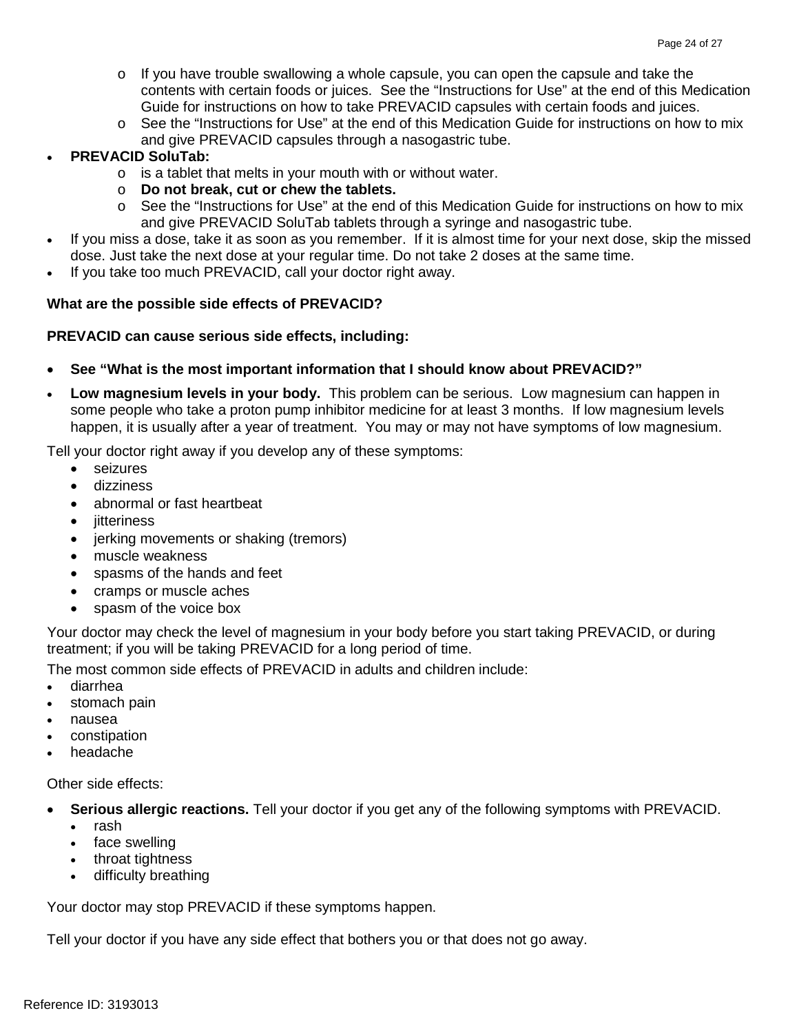- contents with certain foods or juices. See the "Instructions for Use" at the end of this Medication  $\circ$  If you have trouble swallowing a whole capsule, you can open the capsule and take the Guide for instructions on how to take PREVACID capsules with certain foods and juices.
- $\circ$  See the "Instructions for Use" at the end of this Medication Guide for instructions on how to mix and give PREVACID capsules through a nasogastric tube.

## **PREVACID SoluTab:**

- $\circ$  is a tablet that melts in your mouth with or without water.
- o **Do not break, cut or chew the tablets.**
- $\circ$  See the "Instructions for Use" at the end of this Medication Guide for instructions on how to mix and give PREVACID SoluTab tablets through a syringe and nasogastric tube.
- • If you miss a dose, take it as soon as you remember. If it is almost time for your next dose, skip the missed dose. Just take the next dose at your regular time. Do not take 2 doses at the same time.
- If you take too much PREVACID, call your doctor right away.

## **What are the possible side effects of PREVACID?**

## **PREVACID can cause serious side effects, including:**

- **See "What is the most important information that I should know about PREVACID?"**
- • **Low magnesium levels in your body.** This problem can be serious. Low magnesium can happen in some people who take a proton pump inhibitor medicine for at least 3 months. If low magnesium levels happen, it is usually after a year of treatment. You may or may not have symptoms of low magnesium.

Tell your doctor right away if you develop any of these symptoms:

- $\bullet$ seizures
- dizziness
- abnormal or fast heartbeat
- jitteriness
- jerking movements or shaking (tremors)
- muscle weakness
- spasms of the hands and feet
- cramps or muscle aches
- spasm of the voice box

Your doctor may check the level of magnesium in your body before you start taking PREVACID, or during treatment; if you will be taking PREVACID for a long period of time.

The most common side effects of PREVACID in adults and children include:

- • diarrhea
- stomach pain
- nausea
- constipation
- **headache**

Other side effects:

- • **Serious allergic reactions.** Tell your doctor if you get any of the following symptoms with PREVACID.
	- • rash
	- face swelling
	- throat tightness
	- difficulty breathing

Your doctor may stop PREVACID if these symptoms happen.

Tell your doctor if you have any side effect that bothers you or that does not go away.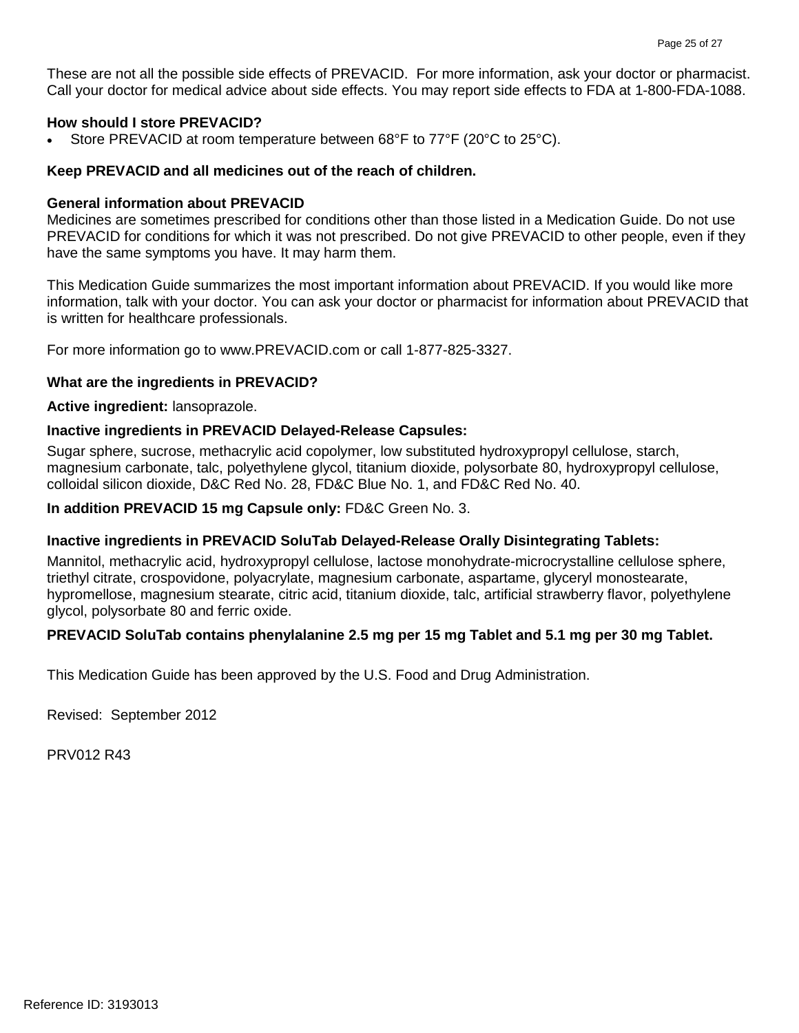Call your doctor for medical advice about side effects. You may report side effects to FDA at 1-800-FDA-1088. These are not all the possible side effects of PREVACID. For more information, ask your doctor or pharmacist.

## **How should I store PREVACID?**

• Store PREVACID at room temperature between 68°F to 77°F (20°C to 25°C).

# Keep PREVACID and all medicines out of the reach of children.<br>General information about PREVACID

 PREVACID for conditions for which it was not prescribed. Do not give PREVACID to other people, even if they have the same symptoms you have. It may harm them. Medicines are sometimes prescribed for conditions other than those listed in a Medication Guide. Do not use

 is written for healthcare professionals. This Medication Guide summarizes the most important information about PREVACID. If you would like more information, talk with your doctor. You can ask your doctor or pharmacist for information about PREVACID that

For more information go to www.PREVACID.com or call 1-877-825-3327.

## **What are the ingredients in PREVACID?**

**Active ingredient:** lansoprazole.

## **Inactive ingredients in PREVACID Delayed-Release Capsules:**

Sugar sphere, sucrose, methacrylic acid copolymer, low substituted hydroxypropyl cellulose, starch, magnesium carbonate, talc, polyethylene glycol, titanium dioxide, polysorbate 80, hydroxypropyl cellulose, colloidal silicon dioxide, D&C Red No. 28, FD&C Blue No. 1, and FD&C Red No. 40.

## **In addition PREVACID 15 mg Capsule only:** FD&C Green No. 3.

## **Inactive ingredients in PREVACID SoluTab Delayed-Release Orally Disintegrating Tablets:**

 hypromellose, magnesium stearate, citric acid, titanium dioxide, talc, artificial strawberry flavor, polyethylene Mannitol, methacrylic acid, hydroxypropyl cellulose, lactose monohydrate-microcrystalline cellulose sphere, triethyl citrate, crospovidone, polyacrylate, magnesium carbonate, aspartame, glyceryl monostearate, glycol, polysorbate 80 and ferric oxide.

## **PREVACID SoluTab contains phenylalanine 2.5 mg per 15 mg Tablet and 5.1 mg per 30 mg Tablet.**

This Medication Guide has been approved by the U.S. Food and Drug Administration.

Revised: September 2012

PRV012 R43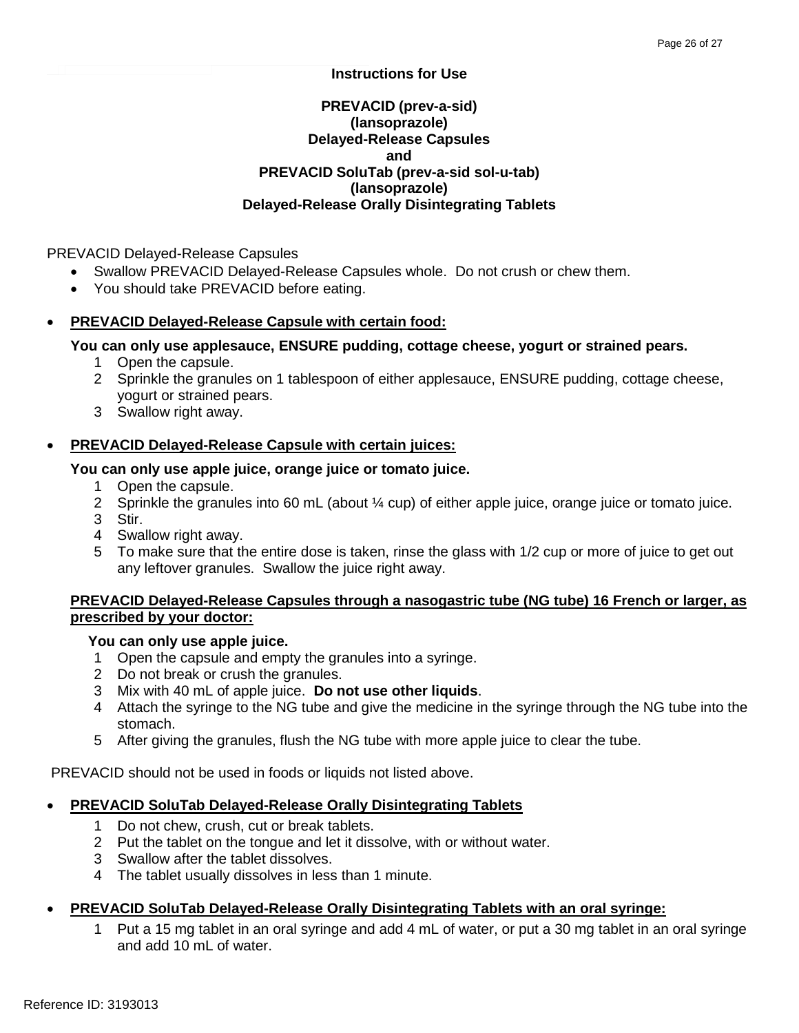## **Instructions for Use**

## **PREVACID SoluTab (prev-a-sid sol-u-tab) PREVACID (prev-a-sid) (lansoprazole) Delayed-Release Capsules and (lansoprazole) Delayed-Release Orally Disintegrating Tablets**

PREVACID Delayed-Release Capsules

- Swallow PREVACID Delayed-Release Capsules whole. Do not crush or chew them.
- You should take PREVACID before eating.

## • **PREVACID Delayed-Release Capsule with certain food:**

## **You can only use applesauce, ENSURE pudding, cottage cheese, yogurt or strained pears.**

- 1 Open the capsule.
- 2 Sprinkle the granules on 1 tablespoon of either applesauce, ENSURE pudding, cottage cheese, yogurt or strained pears.
- 3 Swallow right away.

## **PREVACID Delayed-Release Capsule with certain juices:**

## **You can only use apple juice, orange juice or tomato juice.**

- 1 Open the capsule.
- 2 Sprinkle the granules into 60 mL (about ¼ cup) of either apple juice, orange juice or tomato juice.
- 3 Stir.
- 4 Swallow right away.
- 5 To make sure that the entire dose is taken, rinse the glass with 1/2 cup or more of juice to get out any leftover granules. Swallow the juice right away.

## **PREVACID Delayed-Release Capsules through a nasogastric tube (NG tube) 16 French or larger, as prescribed by your doctor:**

## **You can only use apple juice.**

- 1 Open the capsule and empty the granules into a syringe.
- 2 Do not break or crush the granules.
- 3 Mix with 40 mL of apple juice. **Do not use other liquids**.
- 4 Attach the syringe to the NG tube and give the medicine in the syringe through the NG tube into the stomach.
- 5 After giving the granules, flush the NG tube with more apple juice to clear the tube.

PREVACID should not be used in foods or liquids not listed above.

## **PREVACID SoluTab Delayed-Release Orally Disintegrating Tablets**

- 1 Do not chew, crush, cut or break tablets.
- 2 Put the tablet on the tongue and let it dissolve, with or without water.
- 3 Swallow after the tablet dissolves.
- 4 The tablet usually dissolves in less than 1 minute.

## • **PREVACID SoluTab Delayed-Release Orally Disintegrating Tablets with an oral syringe:**

Put a 15 mg tablet in an oral syringe and add 4 mL of water, or put a 30 mg tablet in an oral syringe and add 10 mL of water.